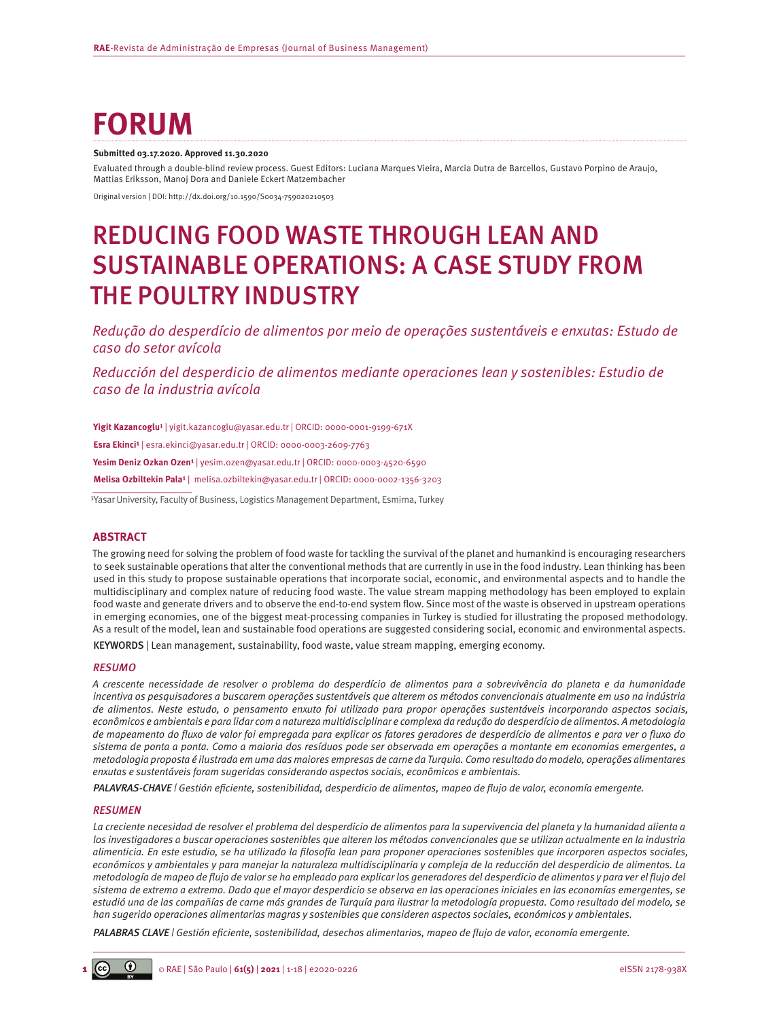# **FORUM**

#### **Submitted 03.17.2020. Approved 11.30.2020**

Evaluated through a double-blind review process. Guest Editors: Luciana Marques Vieira, Marcia Dutra de Barcellos, Gustavo Porpino de Araujo, Mattias Eriksson, Manoj Dora and Daniele Eckert Matzembacher

Original version | DOI: http://dx.doi.org/10.1590/S0034-759020210503

## REDUCING FOOD WASTE THROUGH LEAN AND SUSTAINABLE OPERATIONS: A CASE STUDY FROM THE POULTRY INDUSTRY

*Redução do desperdício de alimentos por meio de operações sustentáveis e enxutas: Estudo de caso do setor avícola*

*Reducción del desperdicio de alimentos mediante operaciones lean y sostenibles: Estudio de caso de la industria avícola*

Yigit Kazancoglu<sup>1</sup> | [yigit.kazancoglu@yasar.edu.tr](mailto:yigit.kazancoglu@yasar.edu.tr) | ORCID: 0000-0001-9199-671X Esra Ekinci<sup>1</sup> | [esra.ekinci@yasar.edu.tr](mailto:esra.ekinci@yasar.edu.tr) | ORCID: 0000-0003-2609-7763 Yesim Deniz Ozkan Ozen<sup>1</sup> | [yesim.ozen@yasar.edu.tr](mailto:yesim.ozen@yasar.edu.tr) | ORCID: 0000-0003-4520-6590 **Melisa Ozbiltekin Pala¹** | [melisa.ozbiltekin@yasar.edu.tr](mailto:melisa.ozbiltekin@yasar.edu.tr) | ORCID: 0000-0002-1356-3203

<sup>1</sup>Yasar University, Faculty of Business, Logistics Management Department, Esmirna, Turkey

#### **ABSTRACT**

The growing need for solving the problem of food waste for tackling the survival of the planet and humankind is encouraging researchers to seek sustainable operations that alter the conventional methods that are currently in use in the food industry. Lean thinking has been used in this study to propose sustainable operations that incorporate social, economic, and environmental aspects and to handle the multidisciplinary and complex nature of reducing food waste. The value stream mapping methodology has been employed to explain food waste and generate drivers and to observe the end-to-end system flow. Since most of the waste is observed in upstream operations in emerging economies, one of the biggest meat-processing companies in Turkey is studied for illustrating the proposed methodology. As a result of the model, lean and sustainable food operations are suggested considering social, economic and environmental aspects. KEYWORDS | Lean management, sustainability, food waste, value stream mapping, emerging economy.

#### *RESUMO*

*A crescente necessidade de resolver o problema do desperdício de alimentos para a sobrevivência do planeta e da humanidade incentiva os pesquisadores a buscarem operações sustentáveis que alterem os métodos convencionais atualmente em uso na indústria de alimentos. Neste estudo, o pensamento enxuto foi utilizado para propor operações sustentáveis incorporando aspectos sociais, econômicos e ambientais e para lidar com a natureza multidisciplinar e complexa da redução do desperdício de alimentos. A metodologia de mapeamento do fluxo de valor foi empregada para explicar os fatores geradores de desperdício de alimentos e para ver o fluxo do sistema de ponta a ponta. Como a maioria dos resíduos pode ser observada em operações a montante em economias emergentes, a metodologia proposta é ilustrada em uma das maiores empresas de carne da Turquia. Como resultado do modelo, operações alimentares enxutas e sustentáveis foram sugeridas considerando aspectos sociais, econômicos e ambientais.*

*PALAVRAS-CHAVE | Gestión eficiente, sostenibilidad, desperdicio de alimentos, mapeo de flujo de valor, economía emergente.*

#### *RESUMEN*

*La creciente necesidad de resolver el problema del desperdicio de alimentos para la supervivencia del planeta y la humanidad alienta a los investigadores a buscar operaciones sostenibles que alteren los métodos convencionales que se utilizan actualmente en la industria alimenticia. En este estudio, se ha utilizado la filosofía lean para proponer operaciones sostenibles que incorporen aspectos sociales, económicos y ambientales y para manejar la naturaleza multidisciplinaria y compleja de la reducción del desperdicio de alimentos. La metodología de mapeo de flujo de valor se ha empleado para explicar los generadores del desperdicio de alimentos y para ver el flujo del sistema de extremo a extremo. Dado que el mayor desperdicio se observa en las operaciones iniciales en las economías emergentes, se estudió una de las compañías de carne más grandes de Turquía para ilustrar la metodología propuesta. Como resultado del modelo, se han sugerido operaciones alimentarias magras y sostenibles que consideren aspectos sociales, económicos y ambientales.*

*PALABRAS CLAVE | Gestión eficiente, sostenibilidad, desechos alimentarios, mapeo de flujo de valor, economía emergente.*

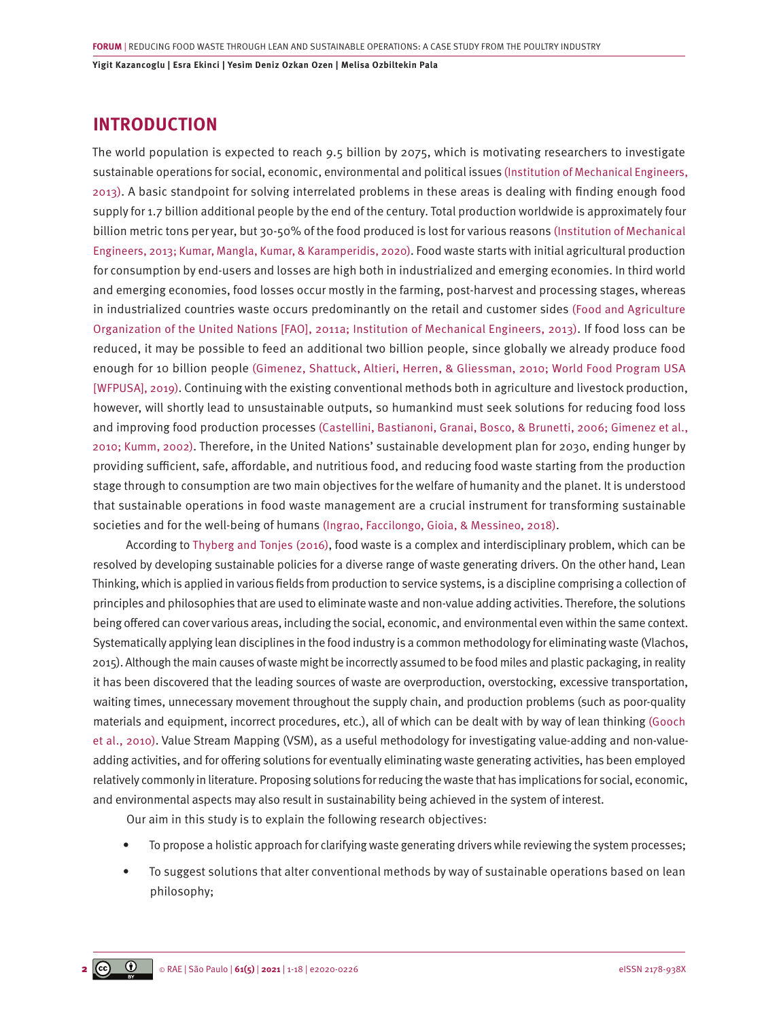### **INTRODUCTION**

The world population is expected to reach 9.5 billion by 2075, which is motivating researchers to investigate sustainable operations for social, economic, environmental and political issues [\(Institution of Mechanical Engineers,](#page-15-0) [2013\).](#page-15-0) A basic standpoint for solving interrelated problems in these areas is dealing with finding enough food supply for 1.7 billion additional people by the end of the century. Total production worldwide is approximately four billion metric tons per year, but 30-50% of the food produced is lost for various reasons [\(Institution of Mechanical](#page-15-0) [Engineers, 2013; Kumar, Mangla, Kumar, & Karamperidis, 2020\).](#page-15-0) Food waste starts with initial agricultural production for consumption by end-users and losses are high both in industrialized and emerging economies. In third world and emerging economies, food losses occur mostly in the farming, post-harvest and processing stages, whereas in industrialized countries waste occurs predominantly on the retail and customer sides [\(Food and Agriculture](#page-14-0)  [Organization of the United Nations \[FAO\], 2011a; Institution of Mechanical Engineers, 2013\)](#page-14-0). If food loss can be reduced, it may be possible to feed an additional two billion people, since globally we already produce food enough for 10 billion people [\(Gimenez, Shattuck, Altieri, Herren, & Gliessman, 2010; World Food Program USA](#page-14-0) [\[WFPUSA\], 2019\)](#page-14-0). Continuing with the existing conventional methods both in agriculture and livestock production, however, will shortly lead to unsustainable outputs, so humankind must seek solutions for reducing food loss and improving food production processes [\(Castellini, Bastianoni, Granai, Bosco, & Brunetti, 2006; Gimenez et al.,](#page-14-0) [2010; Kumm, 2002\).](#page-14-0) Therefore, in the United Nations' sustainable development plan for 2030, ending hunger by providing sufficient, safe, affordable, and nutritious food, and reducing food waste starting from the production stage through to consumption are two main objectives for the welfare of humanity and the planet. It is understood that sustainable operations in food waste management are a crucial instrument for transforming sustainable societies and for the well-being of humans [\(Ingrao, Faccilongo, Gioia, & Messineo, 2018\)](#page-15-0).

According to [Thyberg and Tonjes \(2016\)](#page-16-0), food waste is a complex and interdisciplinary problem, which can be resolved by developing sustainable policies for a diverse range of waste generating drivers. On the other hand, Lean Thinking, which is applied in various fields from production to service systems, is a discipline comprising a collection of principles and philosophies that are used to eliminate waste and non-value adding activities. Therefore, the solutions being offered can cover various areas, including the social, economic, and environmental even within the same context. Systematically applying lean disciplines in the food industry is a common methodology for eliminating waste (Vlachos, 2015). Although the main causes of waste might be incorrectly assumed to be food miles and plastic packaging, in reality it has been discovered that the leading sources of waste are overproduction, overstocking, excessive transportation, waiting times, unnecessary movement throughout the supply chain, and production problems (such as poor-quality materials and equipment, incorrect procedures, etc.), all of which can be dealt with by way of lean thinking [\(Gooch](#page-15-0) [et al., 2010\).](#page-15-0) Value Stream Mapping (VSM), as a useful methodology for investigating value-adding and non-valueadding activities, and for offering solutions for eventually eliminating waste generating activities, has been employed relatively commonly in literature. Proposing solutions for reducing the waste that has implications for social, economic, and environmental aspects may also result in sustainability being achieved in the system of interest.

Our aim in this study is to explain the following research objectives:

- To propose a holistic approach for clarifying waste generating drivers while reviewing the system processes;
- To suggest solutions that alter conventional methods by way of sustainable operations based on lean philosophy;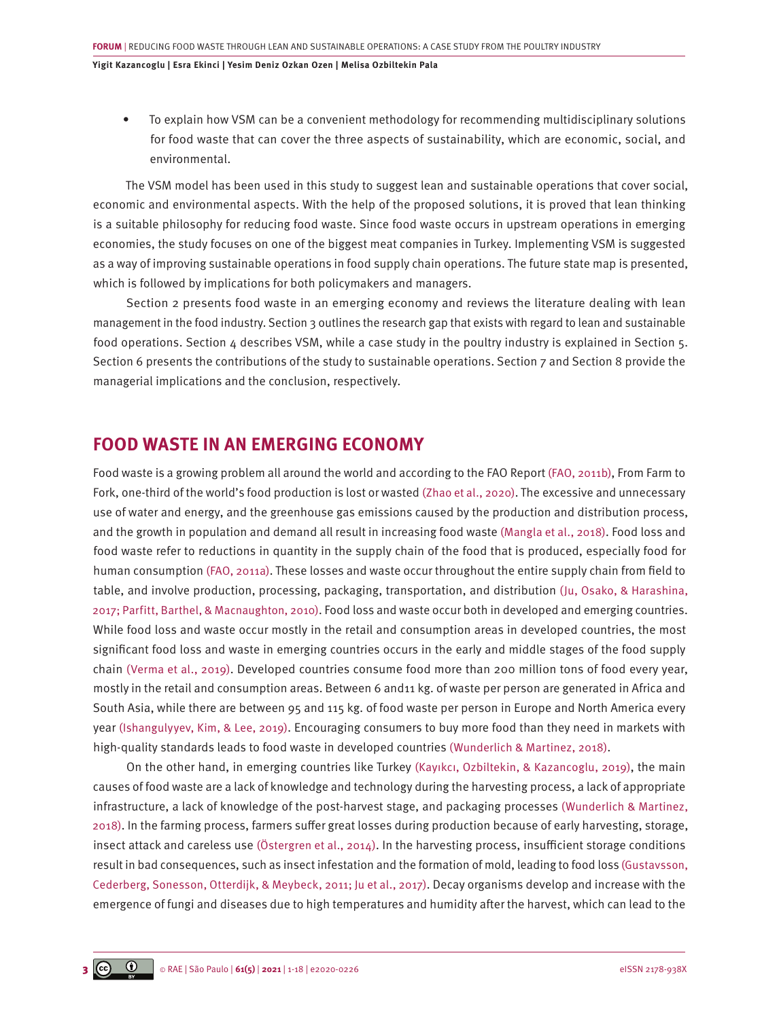• To explain how VSM can be a convenient methodology for recommending multidisciplinary solutions for food waste that can cover the three aspects of sustainability, which are economic, social, and environmental.

The VSM model has been used in this study to suggest lean and sustainable operations that cover social, economic and environmental aspects. With the help of the proposed solutions, it is proved that lean thinking is a suitable philosophy for reducing food waste. Since food waste occurs in upstream operations in emerging economies, the study focuses on one of the biggest meat companies in Turkey. Implementing VSM is suggested as a way of improving sustainable operations in food supply chain operations. The future state map is presented, which is followed by implications for both policymakers and managers.

Section 2 presents food waste in an emerging economy and reviews the literature dealing with lean management in the food industry. Section 3 outlines the research gap that exists with regard to lean and sustainable food operations. Section 4 describes VSM, while a case study in the poultry industry is explained in Section 5. Section 6 presents the contributions of the study to sustainable operations. Section 7 and Section 8 provide the managerial implications and the conclusion, respectively.

### **FOOD WASTE IN AN EMERGING ECONOMY**

Food waste is a growing problem all around the world and according to the FAO Report [\(FAO, 2011b\)](#page-14-0), From Farm to Fork, one-third of the world's food production is lost or wasted [\(Zhao et al., 2020\).](#page-17-0) The excessive and unnecessary use of water and energy, and the greenhouse gas emissions caused by the production and distribution process, and the growth in population and demand all result in increasing food waste [\(Mangla et al., 2018\).](#page-15-0) Food loss and food waste refer to reductions in quantity in the supply chain of the food that is produced, especially food for human consumption [\(FAO, 2011a\)](#page-14-0). These losses and waste occur throughout the entire supply chain from field to table, and involve production, processing, packaging, transportation, and distribution [\(Ju, Osako, & Harashina,](#page-15-0) [2017; Parfitt, Barthel, & Macnaughton, 2010\).](#page-15-0) Food loss and waste occur both in developed and emerging countries. While food loss and waste occur mostly in the retail and consumption areas in developed countries, the most significant food loss and waste in emerging countries occurs in the early and middle stages of the food supply chain [\(Verma et al., 2019\).](#page-16-0) Developed countries consume food more than 200 million tons of food every year, mostly in the retail and consumption areas. Between 6 and11 kg. of waste per person are generated in Africa and South Asia, while there are between 95 and 115 kg. of food waste per person in Europe and North America every year [\(Ishangulyyev, Kim, & Lee, 2019\).](#page-15-0) Encouraging consumers to buy more food than they need in markets with high-quality standards leads to food waste in developed countries [\(Wunderlich & Martinez, 2018\)](#page-17-0).

On the other hand, in emerging countries like Turkey [\(Kayıkcı, Ozbiltekin, & Kazancoglu, 2019\)](#page-15-0), the main causes of food waste are a lack of knowledge and technology during the harvesting process, a lack of appropriate infrastructure, a lack of knowledge of the post-harvest stage, and packaging processes [\(Wunderlich & Martinez,](#page-17-0) [2018\).](#page-17-0) In the farming process, farmers suffer great losses during production because of early harvesting, storage, insect attack and careless use [\(Östergren et al., 2014\)](#page-16-0). In the harvesting process, insufficient storage conditions result in bad consequences, such as insect infestation and the formation of mold, leading to food loss [\(Gustavsson,](#page-14-0) [Cederberg, Sonesson, Otterdijk, & Meybeck, 2011; Ju et al., 2017\)](#page-14-0). Decay organisms develop and increase with the emergence of fungi and diseases due to high temperatures and humidity after the harvest, which can lead to the

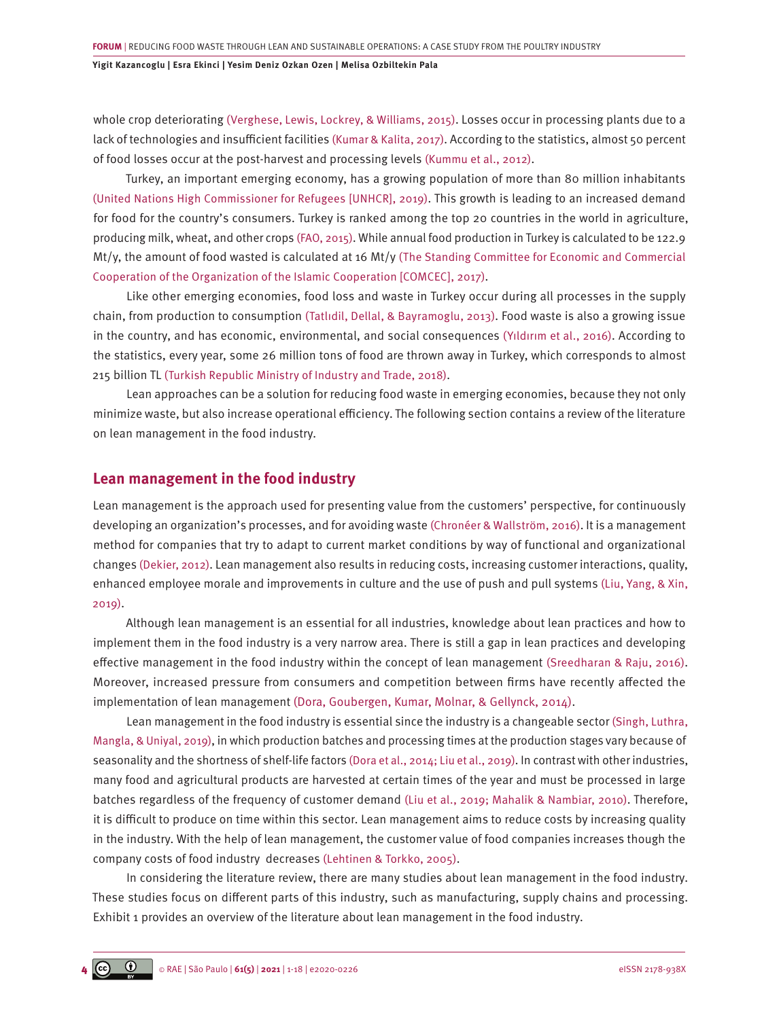whole crop deteriorating [\(Verghese, Lewis, Lockrey, & Williams, 2015\)](#page-16-0). Losses occur in processing plants due to a lack of technologies and insufficient facilities [\(Kumar & Kalita, 2017\)](#page-15-0). According to the statistics, almost 50 percent of food losses occur at the post-harvest and processing levels [\(Kummu et al., 2012\)](#page-15-0).

Turkey, an important emerging economy, has a growing population of more than 80 million inhabitants [\(United Nations High Commissioner for Refugees \[UNHCR\], 2019\)](#page-16-0). This growth is leading to an increased demand for food for the country's consumers. Turkey is ranked among the top 20 countries in the world in agriculture, producing milk, wheat, and other crops [\(FAO, 2015\).](#page-14-0) While annual food production in Turkey is calculated to be 122.9 Mt/y, the amount of food wasted is calculated at 16 Mt/y [\(The Standing Committee for Economic and Commercial](#page-16-0) [Cooperation of the Organization of the Islamic Cooperation \[COMCEC\], 2017\).](#page-16-0)

Like other emerging economies, food loss and waste in Turkey occur during all processes in the supply chain, from production to consumption [\(Tatlıdil, Dellal, & Bayramoglu, 2013\)](#page-16-0). Food waste is also a growing issue in the country, and has economic, environmental, and social consequences [\(Yıldırım et al., 2016\).](#page-17-0) According to the statistics, every year, some 26 million tons of food are thrown away in Turkey, which corresponds to almost 215 billion TL [\(Turkish Republic Ministry of Industry and Trade, 2018\).](#page-16-0)

Lean approaches can be a solution for reducing food waste in emerging economies, because they not only minimize waste, but also increase operational efficiency. The following section contains a review of the literature on lean management in the food industry.

#### **Lean management in the food industry**

Lean management is the approach used for presenting value from the customers' perspective, for continuously developing an organization's processes, and for avoiding waste [\(Chronéer & Wallström, 2016\).](#page-14-0) It is a management method for companies that try to adapt to current market conditions by way of functional and organizational changes [\(Dekier, 2012\)](#page-14-0). Lean management also results in reducing costs, increasing customer interactions, quality, enhanced employee morale and improvements in culture and the use of push and pull systems [\(Liu, Yang, & Xin,](#page-15-0) [2019\).](#page-15-0)

Although lean management is an essential for all industries, knowledge about lean practices and how to implement them in the food industry is a very narrow area. There is still a gap in lean practices and developing effective management in the food industry within the concept of lean management [\(Sreedharan & Raju, 2016\)](#page-16-0). Moreover, increased pressure from consumers and competition between firms have recently affected the implementation of lean management (Dora, [Goubergen,](https://www.emerald.com/insight/search?q=Dirk Van Goubergen) [Kumar,](https://www.emerald.com/insight/search?q=Maneesh Kumar) [Molnar, &](https://www.emerald.com/insight/search?q=Adrienn Molnar) [Gellynck,](https://www.emerald.com/insight/search?q=Xavier Gellynck) 2014).

Lean management in the food industry is essential since the industry is a changeable sector [\(Singh, Luthra,](#page-16-0) [Mangla, & Uniyal, 2019\),](#page-16-0) in which production batches and processing times at the production stages vary because of seasonality and the shortness of shelf-life factors [\(Dora et al., 2014; Liu et al., 2019\).](#page-14-0) In contrast with other industries, many food and agricultural products are harvested at certain times of the year and must be processed in large batches regardless of the frequency of customer demand [\(Liu et al., 2019; Mahalik & Nambiar, 2010\)](#page-15-0). Therefore, it is difficult to produce on time within this sector. Lean management aims to reduce costs by increasing quality in the industry. With the help of lean management, the customer value of food companies increases though the company costs of food industry decreases [\(Lehtinen & Torkko, 2005\)](#page-15-0).

In considering the literature review, there are many studies about lean management in the food industry. These studies focus on different parts of this industry, such as manufacturing, supply chains and processing. Exhibit 1 provides an overview of the literature about lean management in the food industry.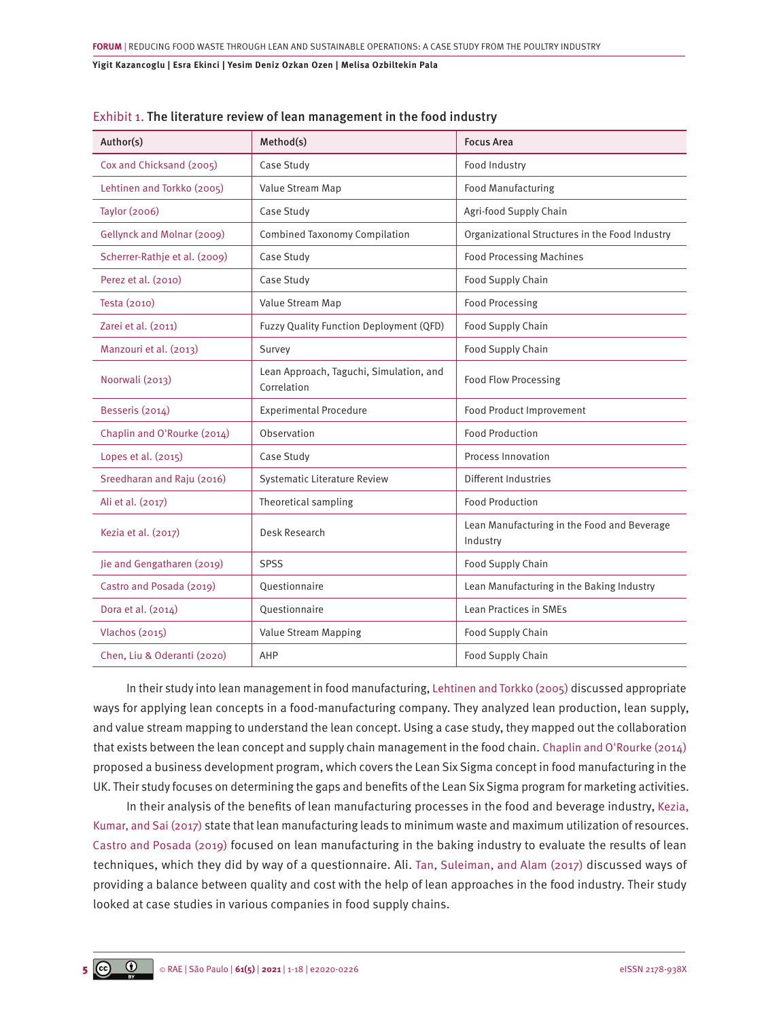| Author(s)                     | Method(s)                                              | <b>Focus Area</b>                                       |  |  |  |  |  |
|-------------------------------|--------------------------------------------------------|---------------------------------------------------------|--|--|--|--|--|
| Cox and Chicksand (2005)      | Case Study                                             | Food Industry                                           |  |  |  |  |  |
| Lehtinen and Torkko (2005)    | Value Stream Map                                       | <b>Food Manufacturing</b>                               |  |  |  |  |  |
| <b>Taylor (2006)</b>          | Case Study                                             | Agri-food Supply Chain                                  |  |  |  |  |  |
| Gellynck and Molnar (2009)    | <b>Combined Taxonomy Compilation</b>                   | Organizational Structures in the Food Industry          |  |  |  |  |  |
| Scherrer-Rathje et al. (2009) | Case Study                                             | <b>Food Processing Machines</b>                         |  |  |  |  |  |
| Perez et al. (2010)           | Case Study                                             | Food Supply Chain                                       |  |  |  |  |  |
| Testa (2010)                  | Value Stream Map                                       | <b>Food Processing</b>                                  |  |  |  |  |  |
| Zarei et al. (2011)           | Fuzzy Quality Function Deployment (QFD)                | Food Supply Chain                                       |  |  |  |  |  |
| Manzouri et al. (2013)        | Survey                                                 | Food Supply Chain                                       |  |  |  |  |  |
| Noorwali (2013)               | Lean Approach, Taguchi, Simulation, and<br>Correlation | <b>Food Flow Processing</b>                             |  |  |  |  |  |
| Besseris (2014)               | <b>Experimental Procedure</b>                          | Food Product Improvement                                |  |  |  |  |  |
| Chaplin and O'Rourke (2014)   | Observation                                            | <b>Food Production</b>                                  |  |  |  |  |  |
| Lopes et al. (2015)           | Case Study                                             | Process Innovation                                      |  |  |  |  |  |
| Sreedharan and Raju (2016)    | <b>Systematic Literature Review</b>                    | Different Industries                                    |  |  |  |  |  |
| Ali et al. (2017)             | Theoretical sampling                                   | <b>Food Production</b>                                  |  |  |  |  |  |
| Kezia et al. (2017)           | Desk Research                                          | Lean Manufacturing in the Food and Beverage<br>Industry |  |  |  |  |  |
| Jie and Gengatharen (2019)    | SPSS                                                   | Food Supply Chain                                       |  |  |  |  |  |
| Castro and Posada (2019)      | Questionnaire                                          | Lean Manufacturing in the Baking Industry               |  |  |  |  |  |
| Dora et al. (2014)            | Ouestionnaire                                          | Lean Practices in SMEs                                  |  |  |  |  |  |
| Vlachos (2015)                | Value Stream Mapping                                   | Food Supply Chain                                       |  |  |  |  |  |
| Chen, Liu & Oderanti (2020)   | AHP                                                    | <b>Food Supply Chain</b>                                |  |  |  |  |  |

|  |  |  |  |  |  | Exhibit 1. The literature review of lean management in the food industry |  |  |  |  |  |
|--|--|--|--|--|--|--------------------------------------------------------------------------|--|--|--|--|--|
|--|--|--|--|--|--|--------------------------------------------------------------------------|--|--|--|--|--|

In their study into lean management in food manufacturing, [Lehtinen and Torkko \(2005\)](#page-15-0) discussed appropriate ways for applying lean concepts in a food-manufacturing company. They analyzed lean production, lean supply, and value stream mapping to understand the lean concept. Using a case study, they mapped out the collaboration that exists between the lean concept and supply chain management in the food chain. [Chaplin and O'Rourke \(2014\)](#page-14-0) proposed a business development program, which covers the Lean Six Sigma concept in food manufacturing in the UK. Their study focuses on determining the gaps and benefits of the Lean Six Sigma program for marketing activities.

In their analysis of the benefits of lean manufacturing processes in the food and beverage industry, [Kezia,](#page-15-0)  [Kumar, and Sai \(2017\)](#page-15-0) state that lean manufacturing leads to minimum waste and maximum utilization of resources. [Castro and Posada \(2019\)](#page-14-0) focused on lean manufacturing in the baking industry to evaluate the results of lean techniques, which they did by way of a questionnaire. Ali. [Tan, Suleiman, and Alam \(2017\)](#page-16-0) discussed ways of providing a balance between quality and cost with the help of lean approaches in the food industry. Their study looked at case studies in various companies in food supply chains.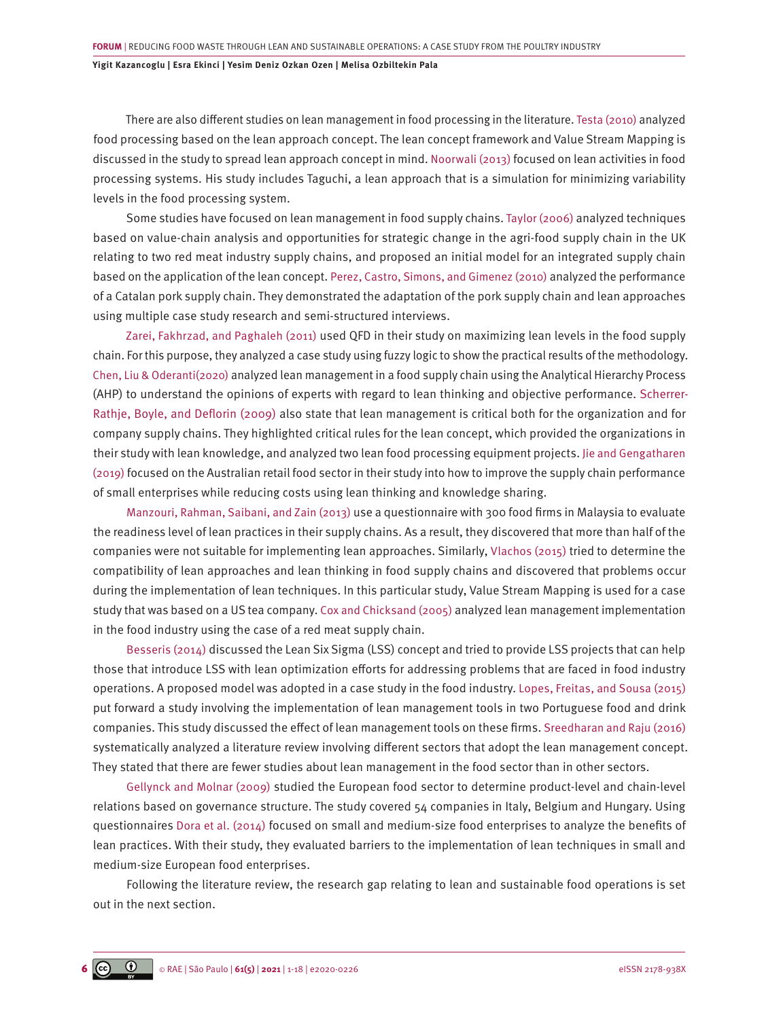There are also different studies on lean management in food processing in the literature. [Testa \(2010\)](#page-16-0) analyzed food processing based on the lean approach concept. The lean concept framework and Value Stream Mapping is discussed in the study to spread lean approach concept in mind. [Noorwali \(2013\)](#page-16-0) focused on lean activities in food processing systems. His study includes Taguchi, a lean approach that is a simulation for minimizing variability levels in the food processing system.

Some studies have focused on lean management in food supply chains. [Taylor \(2006\)](#page-16-0) analyzed techniques based on value-chain analysis and opportunities for strategic change in the agri-food supply chain in the UK relating to two red meat industry supply chains, and proposed an initial model for an integrated supply chain based on the application of the lean concept. [Perez, Castro, Simons, and Gimenez \(2010\)](#page-16-0) analyzed the performance of a Catalan pork supply chain. They demonstrated the adaptation of the pork supply chain and lean approaches using multiple case study research and semi-structured interviews.

[Zarei, Fakhrzad, and Paghaleh \(2011\)](#page-17-0) used QFD in their study on maximizing lean levels in the food supply chain. For this purpose, they analyzed a case study using fuzzy logic to show the practical results of the methodology. [Chen, Liu & Oderanti\(2020\)](#page-14-0) analyzed lean management in a food supply chain using the Analytical Hierarchy Process (AHP) to understand the opinions of experts with regard to lean thinking and objective performance. Scherrer-Rathje, [Boyle, and](javascript:contributorCitation( ) [Deflorin](javascript:contributorCitation( ) (2009) also state that lean management is critical both for the organization and for company supply chains. They highlighted critical rules for the lean concept, which provided the organizations in their study with lean knowledge, and analyzed two lean food processing equipment projects. [Jie and Gengatharen](#page-15-0) [\(2019\)](#page-15-0) focused on the Australian retail food sector in their study into how to improve the supply chain performance of small enterprises while reducing costs using lean thinking and knowledge sharing.

[Manzouri, Rahman, Saibani, and Zain \(2013\)](#page-15-0) use a questionnaire with 300 food firms in Malaysia to evaluate the readiness level of lean practices in their supply chains. As a result, they discovered that more than half of the companies were not suitable for implementing lean approaches. Similarly, [Vlachos \(2015\)](#page-16-0) tried to determine the compatibility of lean approaches and lean thinking in food supply chains and discovered that problems occur during the implementation of lean techniques. In this particular study, Value Stream Mapping is used for a case study that was based on a US tea company. [Cox and Chicksand \(2005\)](#page-14-0) analyzed lean management implementation in the food industry using the case of a red meat supply chain.

[Besseris \(2014\)](#page-14-0) discussed the Lean Six Sigma (LSS) concept and tried to provide LSS projects that can help those that introduce LSS with lean optimization efforts for addressing problems that are faced in food industry operations. A proposed model was adopted in a case study in the food industry. [Lopes, Freitas, and Sousa \(2015\)](#page-15-0) put forward a study involving the implementation of lean management tools in two Portuguese food and drink companies. This study discussed the effect of lean management tools on these firms. [Sreedharan and Raju \(2016\)](#page-16-0) systematically analyzed a literature review involving different sectors that adopt the lean management concept. They stated that there are fewer studies about lean management in the food sector than in other sectors.

[Gellynck and Molnar \(2009\)](#page-14-0) studied the European food sector to determine product-level and chain-level relations based on governance structure. The study covered 54 companies in Italy, Belgium and Hungary. Using questionnaires [Dora et al. \(2014\)](#page-14-0) focused on small and medium-size food enterprises to analyze the benefits of lean practices. With their study, they evaluated barriers to the implementation of lean techniques in small and medium-size European food enterprises.

Following the literature review, the research gap relating to lean and sustainable food operations is set out in the next section.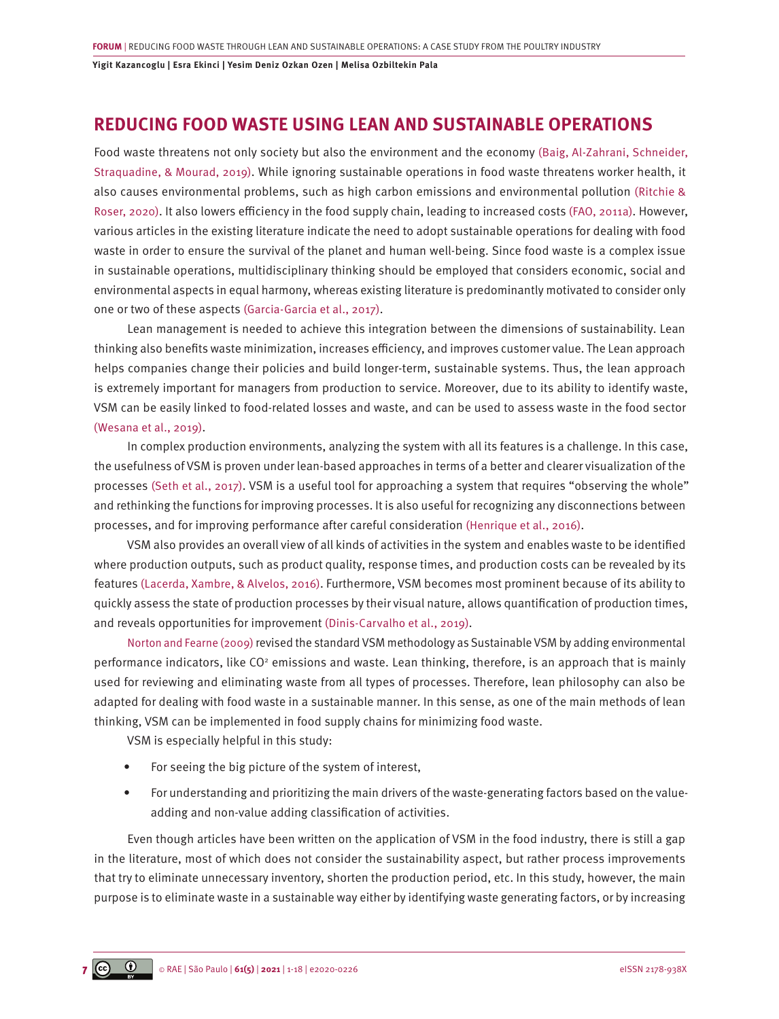### **REDUCING FOOD WASTE USING LEAN AND SUSTAINABLE OPERATIONS**

Food waste threatens not only society but also the environment and the economy [\(Baig, Al-Zahrani, Schneider,](#page-14-0) [Straquadine, & Mourad, 2019\)](#page-14-0). While ignoring sustainable operations in food waste threatens worker health, it also causes environmental problems, such as high carbon emissions and environmental pollution [\(Ritchie &](#page-16-0) [Roser, 2020\).](#page-16-0) It also lowers efficiency in the food supply chain, leading to increased costs [\(FAO, 2011a\).](#page-14-0) However, various articles in the existing literature indicate the need to adopt sustainable operations for dealing with food waste in order to ensure the survival of the planet and human well-being. Since food waste is a complex issue in sustainable operations, multidisciplinary thinking should be employed that considers economic, social and environmental aspects in equal harmony, whereas existing literature is predominantly motivated to consider only one or two of these aspects [\(Garcia-Garcia et al., 2017\)](#page-14-0).

Lean management is needed to achieve this integration between the dimensions of sustainability. Lean thinking also benefits waste minimization, increases efficiency, and improves customer value. The Lean approach helps companies change their policies and build longer-term, sustainable systems. Thus, the lean approach is extremely important for managers from production to service. Moreover, due to its ability to identify waste, VSM can be easily linked to food-related losses and waste, and can be used to assess waste in the food sector [\(Wesana et al., 2019\).](#page-17-0)

In complex production environments, analyzing the system with all its features is a challenge. In this case, the usefulness of VSM is proven under lean-based approaches in terms of a better and clearer visualization of the processes [\(Seth et al., 2017\)](#page-16-0). VSM is a useful tool for approaching a system that requires "observing the whole" and rethinking the functions for improving processes. It is also useful for recognizing any disconnections between processes, and for improving performance after careful consideration [\(Henrique et al., 2016\).](#page-15-0)

VSM also provides an overall view of all kinds of activities in the system and enables waste to be identified where production outputs, such as product quality, response times, and production costs can be revealed by its features [\(Lacerda, Xambre, & Alvelos, 2016\).](#page-15-0) Furthermore, VSM becomes most prominent because of its ability to quickly assess the state of production processes by their visual nature, allows quantification of production times, and reveals opportunities for improvement [\(Dinis-Carvalho et al., 2019\)](#page-14-0).

[Norton and Fearne \(2009\)](#page-16-0) revised the standard VSM methodology as Sustainable VSM by adding environmental performance indicators, like CO<sup>2</sup> emissions and waste. Lean thinking, therefore, is an approach that is mainly used for reviewing and eliminating waste from all types of processes. Therefore, lean philosophy can also be adapted for dealing with food waste in a sustainable manner. In this sense, as one of the main methods of lean thinking, VSM can be implemented in food supply chains for minimizing food waste.

VSM is especially helpful in this study:

- For seeing the big picture of the system of interest,
- For understanding and prioritizing the main drivers of the waste-generating factors based on the valueadding and non-value adding classification of activities.

Even though articles have been written on the application of VSM in the food industry, there is still a gap in the literature, most of which does not consider the sustainability aspect, but rather process improvements that try to eliminate unnecessary inventory, shorten the production period, etc. In this study, however, the main purpose is to eliminate waste in a sustainable way either by identifying waste generating factors, or by increasing

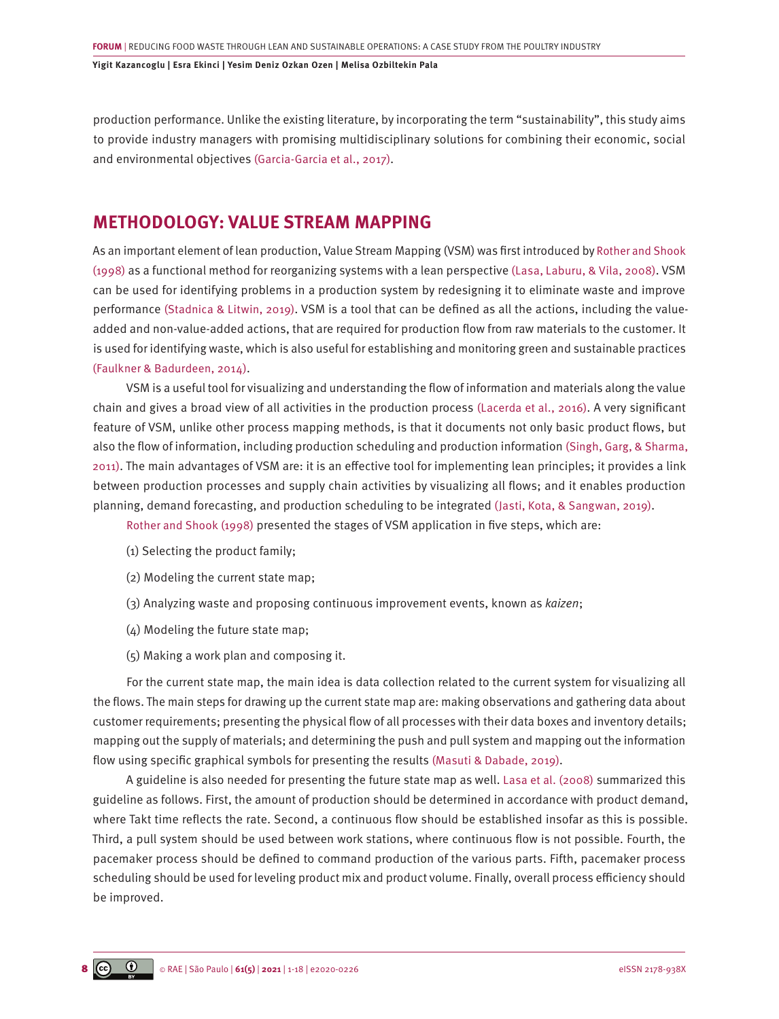production performance. Unlike the existing literature, by incorporating the term "sustainability", this study aims to provide industry managers with promising multidisciplinary solutions for combining their economic, social and environmental objectives [\(Garcia-Garcia et al., 2017\)](#page-14-0).

### **METHODOLOGY: VALUE STREAM MAPPING**

As an important element of lean production, Value Stream Mapping (VSM) was first introduced by [Rother and Shook](#page-16-0) [\(1998\)](#page-16-0) as a functional method for reorganizing systems with a lean perspective [\(Lasa, Laburu, & Vila, 2008\)](#page-15-0). VSM can be used for identifying problems in a production system by redesigning it to eliminate waste and improve performance [\(Stadnica & Litwin, 2019\)](#page-16-0). VSM is a tool that can be defined as all the actions, including the valueadded and non-value-added actions, that are required for production flow from raw materials to the customer. It is used for identifying waste, which is also useful for establishing and monitoring green and sustainable practices [\(Faulkner & Badurdeen, 2014\).](#page-14-0)

VSM is a useful tool for visualizing and understanding the flow of information and materials along the value chain and gives a broad view of all activities in the production process [\(Lacerda et al., 2016\).](#page-15-0) A very significant feature of VSM, unlike other process mapping methods, is that it documents not only basic product flows, but also the flow of information, including production scheduling and production information [\(Singh, Garg, & Sharma,](#page-16-0) [2011\)](#page-16-0). The main advantages of VSM are: it is an effective tool for implementing lean principles; it provides a link between production processes and supply chain activities by visualizing all flows; and it enables production planning, demand forecasting, and production scheduling to be integrated [\(Jasti, Kota, & Sangwan, 2019\).](#page-15-0)

[Rother and Shook \(1998\)](#page-16-0) presented the stages of VSM application in five steps, which are:

- (1) Selecting the product family;
- (2) Modeling the current state map;
- (3) Analyzing waste and proposing continuous improvement events, known as *kaizen*;
- (4) Modeling the future state map;
- (5) Making a work plan and composing it.

For the current state map, the main idea is data collection related to the current system for visualizing all the flows. The main steps for drawing up the current state map are: making observations and gathering data about customer requirements; presenting the physical flow of all processes with their data boxes and inventory details; mapping out the supply of materials; and determining the push and pull system and mapping out the information flow using specific graphical symbols for presenting the results [\(Masuti & Dabade, 2019\).](#page-15-0)

A guideline is also needed for presenting the future state map as well. [Lasa et al. \(2008\)](#page-15-0) summarized this guideline as follows. First, the amount of production should be determined in accordance with product demand, where Takt time reflects the rate. Second, a continuous flow should be established insofar as this is possible. Third, a pull system should be used between work stations, where continuous flow is not possible. Fourth, the pacemaker process should be defined to command production of the various parts. Fifth, pacemaker process scheduling should be used for leveling product mix and product volume. Finally, overall process efficiency should be improved.

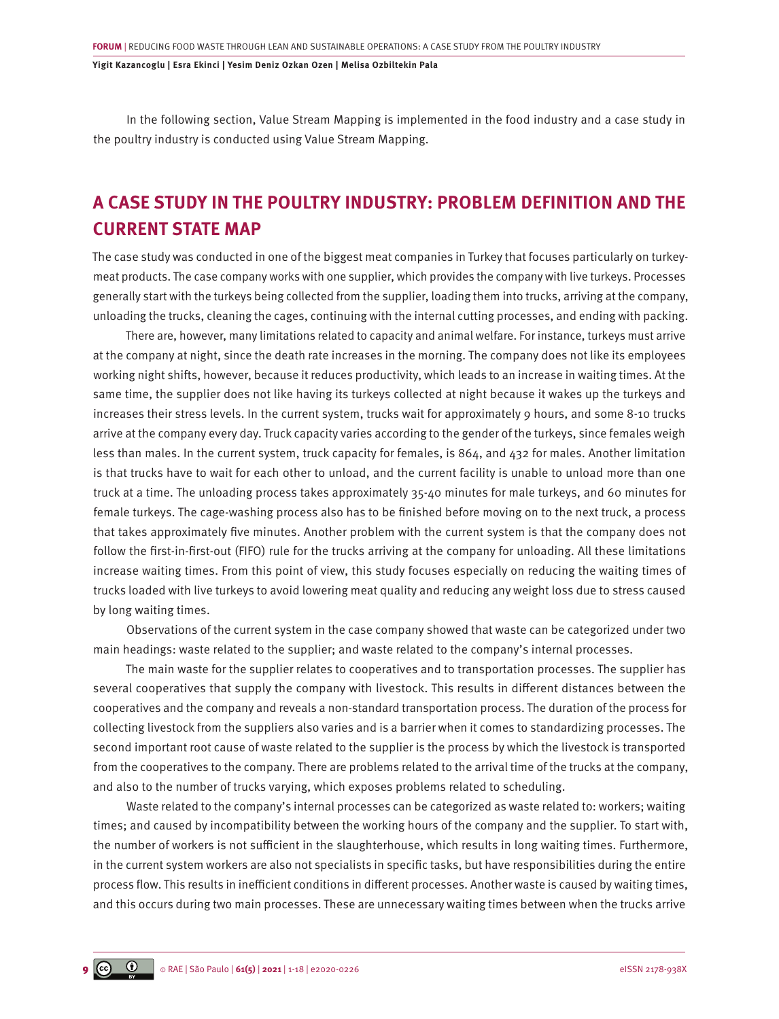In the following section, Value Stream Mapping is implemented in the food industry and a case study in the poultry industry is conducted using Value Stream Mapping.

### **A CASE STUDY IN THE POULTRY INDUSTRY: PROBLEM DEFINITION AND THE CURRENT STATE MAP**

The case study was conducted in one of the biggest meat companies in Turkey that focuses particularly on turkeymeat products. The case company works with one supplier, which provides the company with live turkeys. Processes generally start with the turkeys being collected from the supplier, loading them into trucks, arriving at the company, unloading the trucks, cleaning the cages, continuing with the internal cutting processes, and ending with packing.

There are, however, many limitations related to capacity and animal welfare. For instance, turkeys must arrive at the company at night, since the death rate increases in the morning. The company does not like its employees working night shifts, however, because it reduces productivity, which leads to an increase in waiting times. At the same time, the supplier does not like having its turkeys collected at night because it wakes up the turkeys and increases their stress levels. In the current system, trucks wait for approximately 9 hours, and some 8-10 trucks arrive at the company every day. Truck capacity varies according to the gender of the turkeys, since females weigh less than males. In the current system, truck capacity for females, is 864, and 432 for males. Another limitation is that trucks have to wait for each other to unload, and the current facility is unable to unload more than one truck at a time. The unloading process takes approximately 35-40 minutes for male turkeys, and 60 minutes for female turkeys. The cage-washing process also has to be finished before moving on to the next truck, a process that takes approximately five minutes. Another problem with the current system is that the company does not follow the first-in-first-out (FIFO) rule for the trucks arriving at the company for unloading. All these limitations increase waiting times. From this point of view, this study focuses especially on reducing the waiting times of trucks loaded with live turkeys to avoid lowering meat quality and reducing any weight loss due to stress caused by long waiting times.

Observations of the current system in the case company showed that waste can be categorized under two main headings: waste related to the supplier; and waste related to the company's internal processes.

The main waste for the supplier relates to cooperatives and to transportation processes. The supplier has several cooperatives that supply the company with livestock. This results in different distances between the cooperatives and the company and reveals a non-standard transportation process. The duration of the process for collecting livestock from the suppliers also varies and is a barrier when it comes to standardizing processes. The second important root cause of waste related to the supplier is the process by which the livestock is transported from the cooperatives to the company. There are problems related to the arrival time of the trucks at the company, and also to the number of trucks varying, which exposes problems related to scheduling.

Waste related to the company's internal processes can be categorized as waste related to: workers; waiting times; and caused by incompatibility between the working hours of the company and the supplier. To start with, the number of workers is not sufficient in the slaughterhouse, which results in long waiting times. Furthermore, in the current system workers are also not specialists in specific tasks, but have responsibilities during the entire process flow. This results in inefficient conditions in different processes. Another waste is caused by waiting times, and this occurs during two main processes. These are unnecessary waiting times between when the trucks arrive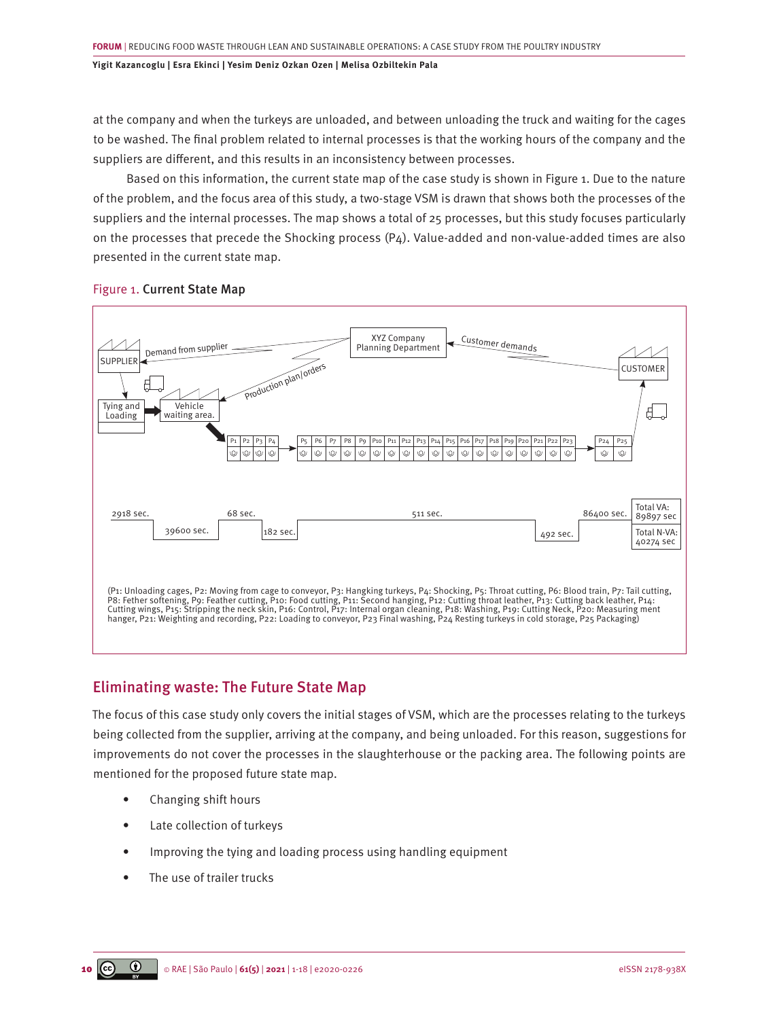at the company and when the turkeys are unloaded, and between unloading the truck and waiting for the cages to be washed. The final problem related to internal processes is that the working hours of the company and the suppliers are different, and this results in an inconsistency between processes.

Based on this information, the current state map of the case study is shown in Figure 1. Due to the nature of the problem, and the focus area of this study, a two-stage VSM is drawn that shows both the processes of the suppliers and the internal processes. The map shows a total of 25 processes, but this study focuses particularly on the processes that precede the Shocking process  $(P_4)$ . Value-added and non-value-added times are also presented in the current state map.



#### Figure 1. Current State Map

### Eliminating waste: The Future State Map

The focus of this case study only covers the initial stages of VSM, which are the processes relating to the turkeys being collected from the supplier, arriving at the company, and being unloaded. For this reason, suggestions for improvements do not cover the processes in the slaughterhouse or the packing area. The following points are mentioned for the proposed future state map.

- Changing shift hours
- Late collection of turkeys
- Improving the tying and loading process using handling equipment
- The use of trailer trucks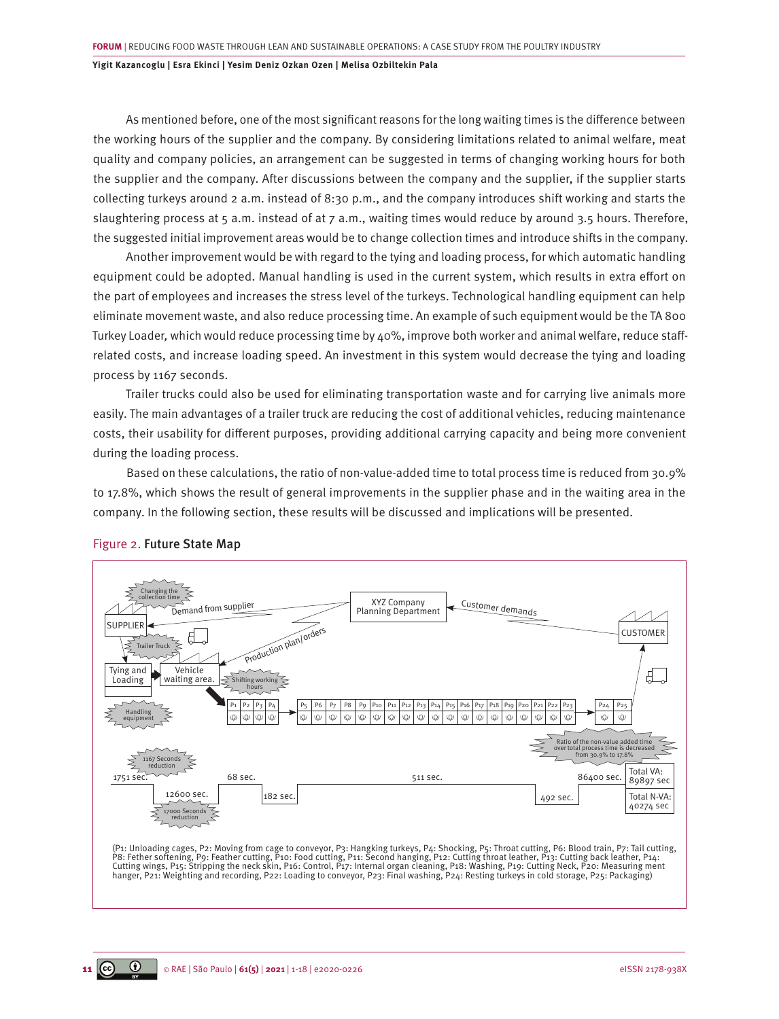As mentioned before, one of the most significant reasons for the long waiting times is the difference between the working hours of the supplier and the company. By considering limitations related to animal welfare, meat quality and company policies, an arrangement can be suggested in terms of changing working hours for both the supplier and the company. After discussions between the company and the supplier, if the supplier starts collecting turkeys around 2 a.m. instead of 8:30 p.m., and the company introduces shift working and starts the slaughtering process at 5 a.m. instead of at 7 a.m., waiting times would reduce by around 3.5 hours. Therefore, the suggested initial improvement areas would be to change collection times and introduce shifts in the company.

Another improvement would be with regard to the tying and loading process, for which automatic handling equipment could be adopted. Manual handling is used in the current system, which results in extra effort on the part of employees and increases the stress level of the turkeys. Technological handling equipment can help eliminate movement waste, and also reduce processing time. An example of such equipment would be the TA 800 Turkey Loader*,* which would reduce processing time by 40%, improve both worker and animal welfare, reduce staffrelated costs, and increase loading speed. An investment in this system would decrease the tying and loading process by 1167 seconds.

Trailer trucks could also be used for eliminating transportation waste and for carrying live animals more easily. The main advantages of a trailer truck are reducing the cost of additional vehicles, reducing maintenance costs, their usability for different purposes, providing additional carrying capacity and being more convenient during the loading process.

Based on these calculations, the ratio of non-value-added time to total process time is reduced from 30.9% to 17.8%, which shows the result of general improvements in the supplier phase and in the waiting area in the company. In the following section, these results will be discussed and implications will be presented.



#### Figure 2. Future State Map

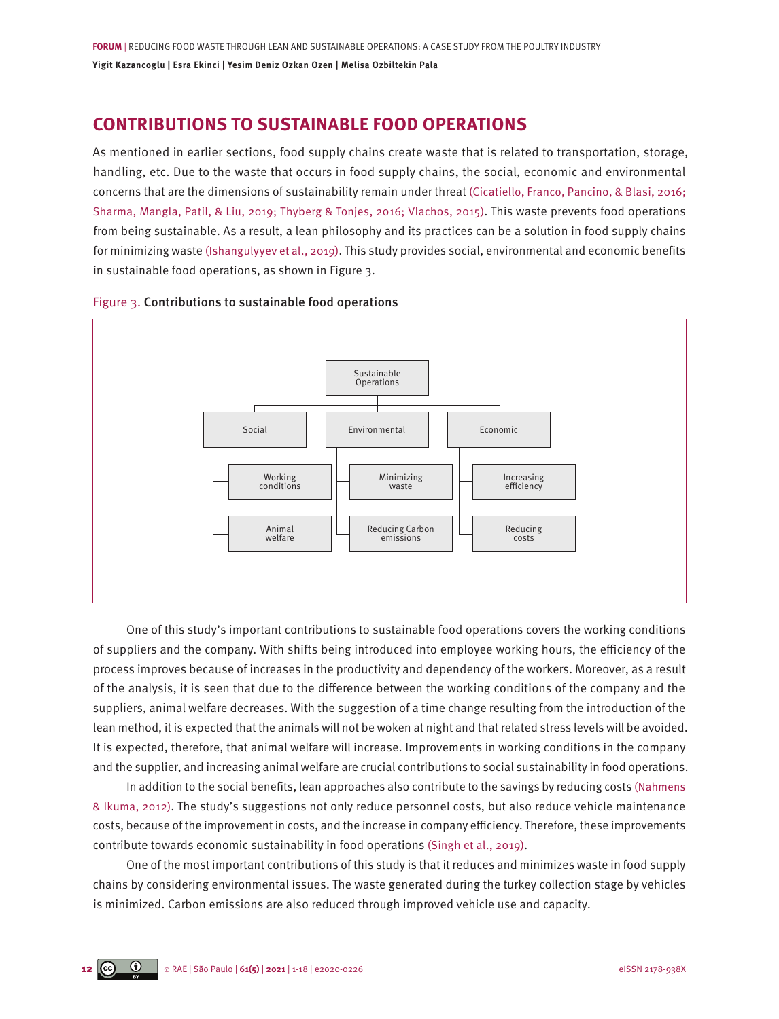### **CONTRIBUTIONS TO SUSTAINABLE FOOD OPERATIONS**

As mentioned in earlier sections, food supply chains create waste that is related to transportation, storage, handling, etc. Due to the waste that occurs in food supply chains, the social, economic and environmental concerns that are the dimensions of sustainability remain under threat [\(Cicatiello, Franco, Pancino, & Blasi, 2016;](#page-14-0)  [Sharma, Mangla, Patil, & Liu, 2019; Thyberg & Tonjes, 2016; Vlachos, 2015\)](#page-14-0). This waste prevents food operations from being sustainable. As a result, a lean philosophy and its practices can be a solution in food supply chains for minimizing waste [\(Ishangulyyev et al., 2019\).](#page-15-0) This study provides social, environmental and economic benefits in sustainable food operations, as shown in Figure 3.



#### Figure 3. Contributions to sustainable food operations

One of this study's important contributions to sustainable food operations covers the working conditions of suppliers and the company. With shifts being introduced into employee working hours, the efficiency of the process improves because of increases in the productivity and dependency of the workers. Moreover, as a result of the analysis, it is seen that due to the difference between the working conditions of the company and the suppliers, animal welfare decreases. With the suggestion of a time change resulting from the introduction of the lean method, it is expected that the animals will not be woken at night and that related stress levels will be avoided. It is expected, therefore, that animal welfare will increase. Improvements in working conditions in the company and the supplier, and increasing animal welfare are crucial contributions to social sustainability in food operations.

In addition to the social benefits, lean approaches also contribute to the savings by reducing costs [\(Nahmens](#page-15-0) [& Ikuma, 2012\).](#page-15-0) The study's suggestions not only reduce personnel costs, but also reduce vehicle maintenance costs, because of the improvement in costs, and the increase in company efficiency. Therefore, these improvements contribute towards economic sustainability in food operations [\(Singh et al., 2019\).](#page-16-0)

One of the most important contributions of this study is that it reduces and minimizes waste in food supply chains by considering environmental issues. The waste generated during the turkey collection stage by vehicles is minimized. Carbon emissions are also reduced through improved vehicle use and capacity.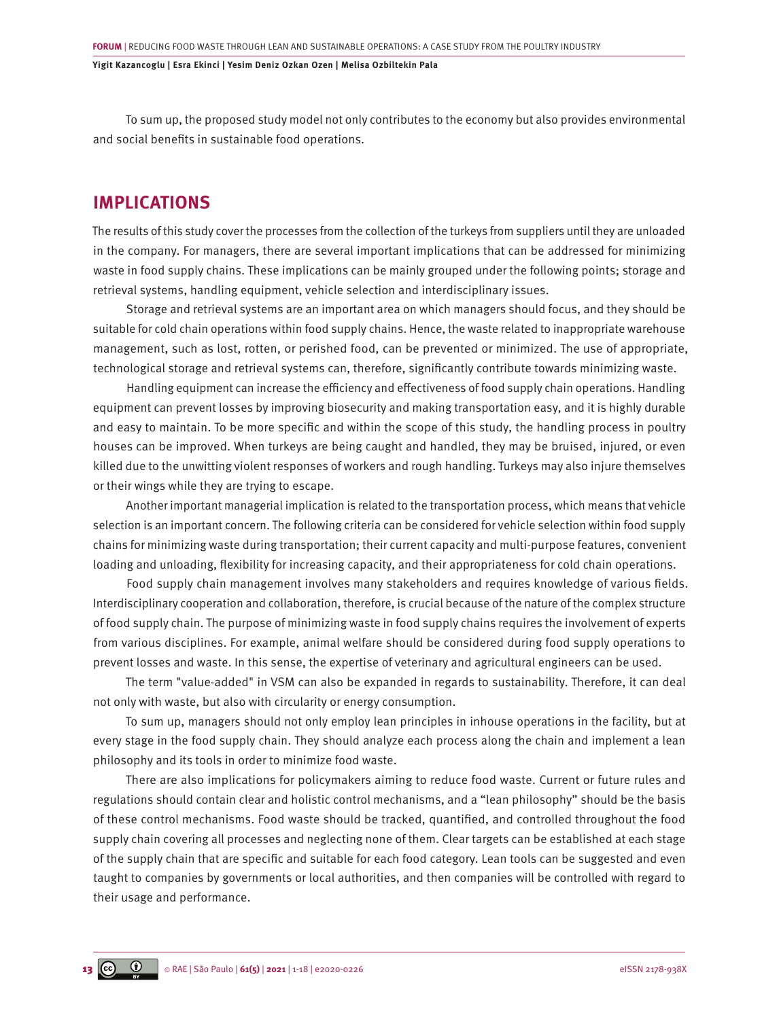To sum up, the proposed study model not only contributes to the economy but also provides environmental and social benefits in sustainable food operations.

### **IMPLICATIONS**

The results of this study cover the processes from the collection of the turkeys from suppliers until they are unloaded in the company. For managers, there are several important implications that can be addressed for minimizing waste in food supply chains. These implications can be mainly grouped under the following points; storage and retrieval systems, handling equipment, vehicle selection and interdisciplinary issues.

Storage and retrieval systems are an important area on which managers should focus, and they should be suitable for cold chain operations within food supply chains. Hence, the waste related to inappropriate warehouse management, such as lost, rotten, or perished food, can be prevented or minimized. The use of appropriate, technological storage and retrieval systems can, therefore, significantly contribute towards minimizing waste.

Handling equipment can increase the efficiency and effectiveness of food supply chain operations. Handling equipment can prevent losses by improving biosecurity and making transportation easy, and it is highly durable and easy to maintain. To be more specific and within the scope of this study, the handling process in poultry houses can be improved. When turkeys are being caught and handled, they may be bruised, injured, or even killed due to the unwitting violent responses of workers and rough handling. Turkeys may also injure themselves or their wings while they are trying to escape.

Another important managerial implication is related to the transportation process, which means that vehicle selection is an important concern. The following criteria can be considered for vehicle selection within food supply chains for minimizing waste during transportation; their current capacity and multi-purpose features, convenient loading and unloading, flexibility for increasing capacity, and their appropriateness for cold chain operations.

Food supply chain management involves many stakeholders and requires knowledge of various fields. Interdisciplinary cooperation and collaboration, therefore, is crucial because of the nature of the complex structure of food supply chain. The purpose of minimizing waste in food supply chains requires the involvement of experts from various disciplines. For example, animal welfare should be considered during food supply operations to prevent losses and waste. In this sense, the expertise of veterinary and agricultural engineers can be used.

The term "value-added" in VSM can also be expanded in regards to sustainability. Therefore, it can deal not only with waste, but also with circularity or energy consumption.

To sum up, managers should not only employ lean principles in inhouse operations in the facility, but at every stage in the food supply chain. They should analyze each process along the chain and implement a lean philosophy and its tools in order to minimize food waste.

There are also implications for policymakers aiming to reduce food waste. Current or future rules and regulations should contain clear and holistic control mechanisms, and a "lean philosophy" should be the basis of these control mechanisms. Food waste should be tracked, quantified, and controlled throughout the food supply chain covering all processes and neglecting none of them. Clear targets can be established at each stage of the supply chain that are specific and suitable for each food category. Lean tools can be suggested and even taught to companies by governments or local authorities, and then companies will be controlled with regard to their usage and performance.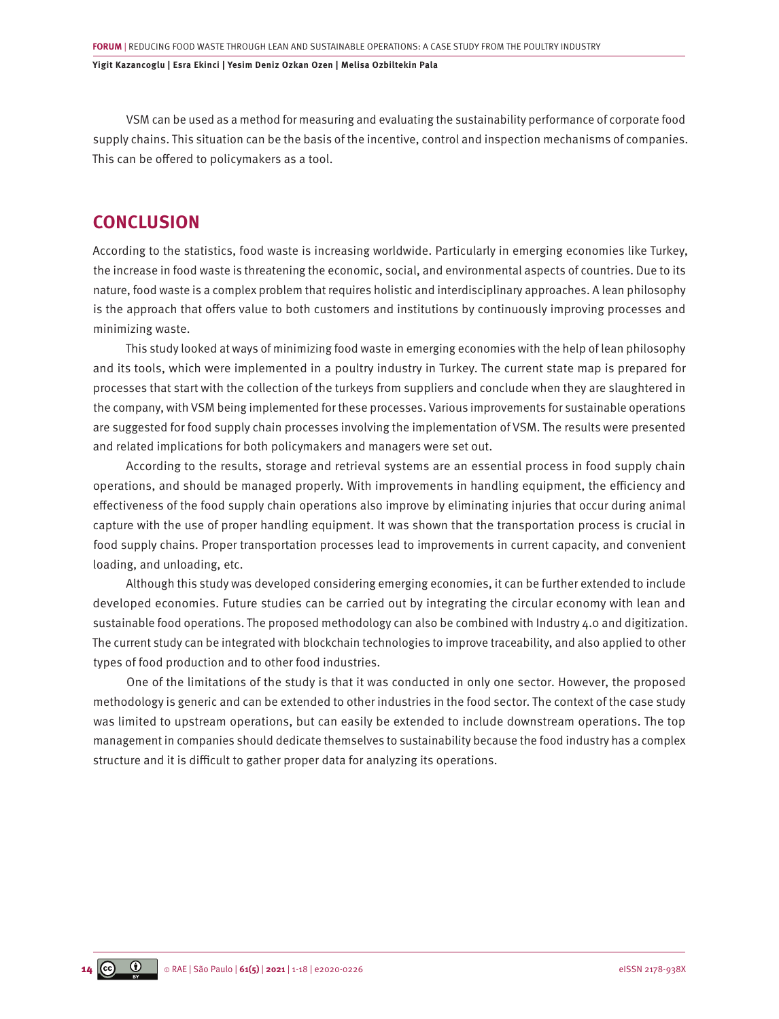VSM can be used as a method for measuring and evaluating the sustainability performance of corporate food supply chains. This situation can be the basis of the incentive, control and inspection mechanisms of companies. This can be offered to policymakers as a tool.

### **CONCLUSION**

According to the statistics, food waste is increasing worldwide. Particularly in emerging economies like Turkey, the increase in food waste is threatening the economic, social, and environmental aspects of countries. Due to its nature, food waste is a complex problem that requires holistic and interdisciplinary approaches. A lean philosophy is the approach that offers value to both customers and institutions by continuously improving processes and minimizing waste.

This study looked at ways of minimizing food waste in emerging economies with the help of lean philosophy and its tools, which were implemented in a poultry industry in Turkey. The current state map is prepared for processes that start with the collection of the turkeys from suppliers and conclude when they are slaughtered in the company, with VSM being implemented for these processes. Various improvements for sustainable operations are suggested for food supply chain processes involving the implementation of VSM. The results were presented and related implications for both policymakers and managers were set out.

According to the results, storage and retrieval systems are an essential process in food supply chain operations, and should be managed properly. With improvements in handling equipment, the efficiency and effectiveness of the food supply chain operations also improve by eliminating injuries that occur during animal capture with the use of proper handling equipment. It was shown that the transportation process is crucial in food supply chains. Proper transportation processes lead to improvements in current capacity, and convenient loading, and unloading, etc.

Although this study was developed considering emerging economies, it can be further extended to include developed economies. Future studies can be carried out by integrating the circular economy with lean and sustainable food operations. The proposed methodology can also be combined with Industry 4.0 and digitization. The current study can be integrated with blockchain technologies to improve traceability, and also applied to other types of food production and to other food industries.

One of the limitations of the study is that it was conducted in only one sector. However, the proposed methodology is generic and can be extended to other industries in the food sector. The context of the case study was limited to upstream operations, but can easily be extended to include downstream operations. The top management in companies should dedicate themselves to sustainability because the food industry has a complex structure and it is difficult to gather proper data for analyzing its operations.

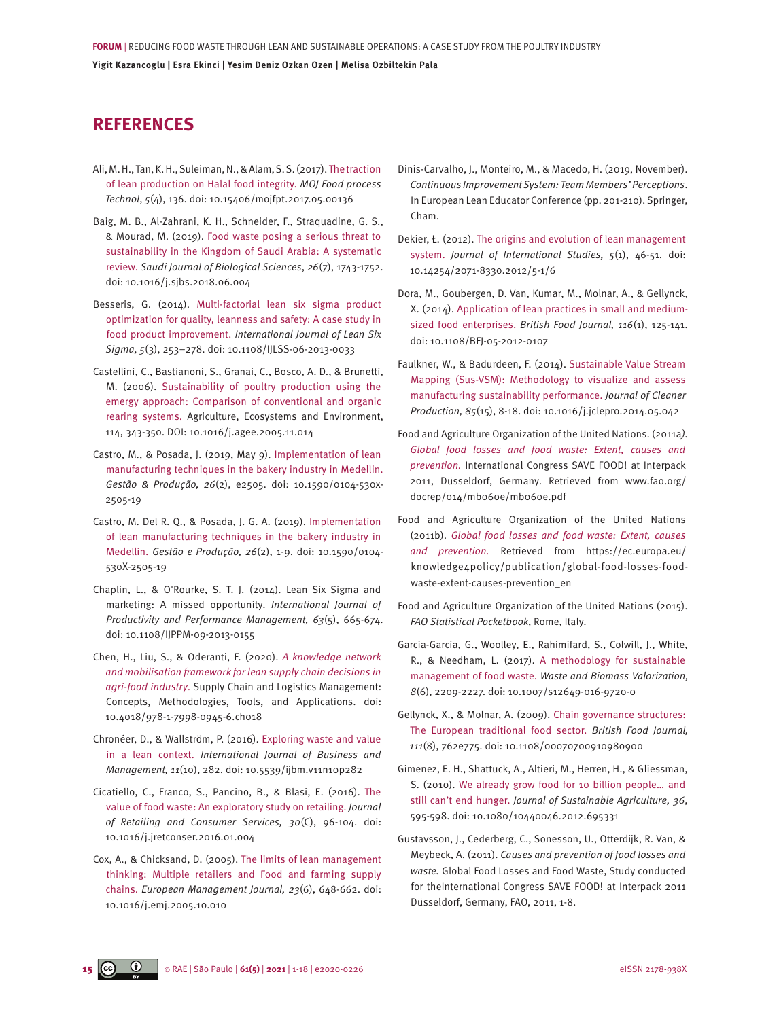### <span id="page-14-0"></span>**REFERENCES**

- [Ali, M. H., Tan, K. H., Suleiman, N., & Alam, S. S. \(2017\).](http://medcraveonline.com/MOJFPT/MOJFPT-05-00136.pdf) The traction [of lean production on Halal food integrity.](http://medcraveonline.com/MOJFPT/MOJFPT-05-00136.pdf) *MOJ Food process Technol*, *5*[\(4\), 136. doi: 10.15406/mojfpt.2017.05.00136](http://medcraveonline.com/MOJFPT/MOJFPT-05-00136.pdf)
- [Baig, M. B., Al-Zahrani, K. H., Schneider, F., Straquadine, G. S.,](https://doi.org/10.1016/j.sjbs.2018.06.004) [& Mourad, M. \(2019\). Food waste posing a serious threat to](https://doi.org/10.1016/j.sjbs.2018.06.004)  [sustainability in the Kingdom of Saudi Arabia: A systematic](https://doi.org/10.1016/j.sjbs.2018.06.004)  review. *[Saudi Journal of Biological Sciences](https://doi.org/10.1016/j.sjbs.2018.06.004)*, *26*(7), 1743-1752. [doi: 10.1016/j.sjbs.2018.06.004](https://doi.org/10.1016/j.sjbs.2018.06.004)
- [Besseris, G. \(2014\). Multi-factorial lean six sigma product](https://doi.org/10.1108/IJLSS-06-2013-0033)  [optimization for quality, leanness and safety: A case study in](https://doi.org/10.1108/IJLSS-06-2013-0033)  food product improvement. *[International Journal of Lean Six](https://doi.org/10.1108/IJLSS-06-2013-0033)  Sigma, 5*[\(3\), 253–278. doi: 10.1108/IJLSS-06-2013-0033](https://doi.org/10.1108/IJLSS-06-2013-0033)
- [Castellini, C., Bastianoni, S., Granai, C., Bosco, A. D., & Brunetti,](https://doi.org/10.1016/j.agee.2005.11.014) [M. \(2006\). Sustainability of poultry production using the](https://doi.org/10.1016/j.agee.2005.11.014)  [emergy approach: Comparison of conventional and organic](https://doi.org/10.1016/j.agee.2005.11.014)  [rearing systems. Agriculture, Ecosystems and Environment,](https://doi.org/10.1016/j.agee.2005.11.014) [114, 343-350. DOI: 10.1016/j.agee.2005.11.014](https://doi.org/10.1016/j.agee.2005.11.014)
- [Castro, M., & Posada, J. \(2019, May 9\). Implementation of lean](https://dx.doi.org/10.1590/0104-530x-2505-19)  [manufacturing techniques in the bakery industry in Medellin.](https://dx.doi.org/10.1590/0104-530x-2505-19) *Gestão & Produção, 26*[\(2\), e2505. doi: 10.1590/0104-530x-](https://dx.doi.org/10.1590/0104-530x-2505-19)[2505-19](https://dx.doi.org/10.1590/0104-530x-2505-19)
- [Castro, M. Del R. Q., & Posada, J. G. A. \(2019\). Implementation](https://doi.org/10.1590/0104-530X-2505-19)  [of lean manufacturing techniques in the bakery industry in](https://doi.org/10.1590/0104-530X-2505-19)  Medellin. *Gestão e Produção, 26*[\(2\), 1-9. doi: 10.1590/0104-](https://doi.org/10.1590/0104-530X-2505-19) [530X-2505-19](https://doi.org/10.1590/0104-530X-2505-19)
- Chaplin, L., & O'Rourke, S. T. J. (2014). Lean Six Sigma and marketing: A missed opportunity. *International Journal of Productivity and Performance Management, 63*(5), 665-674. doi: 10.1108/IJPPM-09-2013-0155
- [Chen, H., Liu, S., & Oderanti, F. \(2020\).](https://www.igi-global.com/chapter/a-knowledge-network-and-mobilisation-framework-for-lean-supply-chain-decisions-in-agri-food-industry/239283) *A knowledge network [and mobilisation framework for lean supply chain decisions in](https://www.igi-global.com/chapter/a-knowledge-network-and-mobilisation-framework-for-lean-supply-chain-decisions-in-agri-food-industry/239283)  agri-food industry*[. Supply Chain and Logistics Management:](https://www.igi-global.com/chapter/a-knowledge-network-and-mobilisation-framework-for-lean-supply-chain-decisions-in-agri-food-industry/239283)  [Concepts, Methodologies, Tools, and Applications. doi:](https://www.igi-global.com/chapter/a-knowledge-network-and-mobilisation-framework-for-lean-supply-chain-decisions-in-agri-food-industry/239283)  [10.4018/978-1-7998-0945-6.ch018](https://www.igi-global.com/chapter/a-knowledge-network-and-mobilisation-framework-for-lean-supply-chain-decisions-in-agri-food-industry/239283)
- [Chronéer, D., & Wallström, P. \(2016\). Exploring waste and value](https://doi.org/10.5539/ijbm.v11n10p282)  in a lean context. *[International Journal of Business and](https://doi.org/10.5539/ijbm.v11n10p282)  Management, 11*[\(10\), 282. doi: 10.5539/ijbm.v11n10p282](https://doi.org/10.5539/ijbm.v11n10p282)
- [Cicatiello, C., Franco, S., Pancino, B., & Blasi, E. \(2016\). The](https://doi.org/10.1016/j.jretconser.2016.01.004)  [value of food waste: An exploratory study on retailing.](https://doi.org/10.1016/j.jretconser.2016.01.004) *Journal [of Retailing and Consumer Services, 30](https://doi.org/10.1016/j.jretconser.2016.01.004)*(C), 96-104. doi: [10.1016/j.jretconser.2016.01.004](https://doi.org/10.1016/j.jretconser.2016.01.004)
- [Cox, A., & Chicksand, D. \(2005\). The limits of lean management](https://doi.org/10.1016/j.emj.2005.10.010)  [thinking: Multiple retailers and Food and farming supply](https://doi.org/10.1016/j.emj.2005.10.010)  chains. *[European Management Journal, 23](https://doi.org/10.1016/j.emj.2005.10.010)*(6), 648-662. doi: [10.1016/j.emj.2005.10.010](https://doi.org/10.1016/j.emj.2005.10.010)
- Dinis-Carvalho, J., Monteiro, M., & Macedo, H. (2019, November). *Continuous Improvement System: Team Members' Perceptions*. In European Lean Educator Conference (pp. 201-210). Springer, Cham.
- [Dekier, Ł. \(2012\). The origins and evolution of lean management](https://doi.org/10.14254/2071-8330.2012/5-1/6) system. *[Journal of International Studies, 5](https://doi.org/10.14254/2071-8330.2012/5-1/6)*(1), 46-51. doi: [10.14254/2071-8330.2012/5-1/6](https://doi.org/10.14254/2071-8330.2012/5-1/6)
- [Dora, M., Goubergen, D. Van, Kumar, M., Molnar, A., & Gellynck,](https://doi.org/10.1108/BFJ-05-2012-0107)  [X. \(2014\). Application of lean practices in small and medium](https://doi.org/10.1108/BFJ-05-2012-0107)sized food enterprises. *[British Food Journal, 116](https://doi.org/10.1108/BFJ-05-2012-0107)*(1), 125-141. [doi: 10.1108/BFJ-05-2012-0107](https://doi.org/10.1108/BFJ-05-2012-0107)
- [Faulkner, W., & Badurdeen, F. \(2014\). Sustainable Value Stream](https://doi.org/10.1016/j.jclepro.2014.05.042) [Mapping \(Sus-VSM\): Methodology to visualize and assess](https://doi.org/10.1016/j.jclepro.2014.05.042) [manufacturing sustainability performance.](https://doi.org/10.1016/j.jclepro.2014.05.042) *Journal of Cleaner Production, 85*[\(15\), 8-18. doi: 10.1016/j.jclepro.2014.05.042](https://doi.org/10.1016/j.jclepro.2014.05.042)
- [Food and Agriculture Organization of the United Nations. \(2011a](http://www.fao.org/docrep/014/mb060e/mb060e.pdf)*). [Global food losses and food waste: Extent, causes and](http://www.fao.org/docrep/014/mb060e/mb060e.pdf)  prevention.* [International Congress SAVE FOOD! at Interpack](http://www.fao.org/docrep/014/mb060e/mb060e.pdf) [2011, Düsseldorf, Germany. Retrieved from www.fao.org/](http://www.fao.org/docrep/014/mb060e/mb060e.pdf) [docrep/014/mb060e/mb060e.pdf](http://www.fao.org/docrep/014/mb060e/mb060e.pdf)
- [Food and Agriculture Organization of the United Nations](https://ec.europa.eu/knowledge4policy/publication/global-food-losses-food-waste-extent-causes-prevention_en) (2011b). *[Global food losses and food waste: Extent, causes](https://ec.europa.eu/knowledge4policy/publication/global-food-losses-food-waste-extent-causes-prevention_en) and prevention.* [Retrieved from https://ec.europa.eu/](https://ec.europa.eu/knowledge4policy/publication/global-food-losses-food-waste-extent-causes-prevention_en) [knowledge4policy/publication/global-food-losses-food](https://ec.europa.eu/knowledge4policy/publication/global-food-losses-food-waste-extent-causes-prevention_en)[waste-extent-causes-prevention\\_en](https://ec.europa.eu/knowledge4policy/publication/global-food-losses-food-waste-extent-causes-prevention_en)
- Food and Agriculture Organization of the United Nations (2015). *FAO Statistical Pocketbook*, Rome, Italy.
- [Garcia-Garcia, G., Woolley, E., Rahimifard, S., Colwill, J., White,](https://doi.org/10.1007/s12649-016-9720-0)  [R., & Needham, L. \(2017\). A methodology for sustainable](https://doi.org/10.1007/s12649-016-9720-0)  management of food waste. *[Waste and Biomass Valorization,](https://doi.org/10.1007/s12649-016-9720-0) 8*[\(6\), 2209-2227. doi: 10.1007/s12649-016-9720-0](https://doi.org/10.1007/s12649-016-9720-0)
- [Gellynck, X., & Molnar, A. \(2009\). Chain governance structures:](https://doi.org/10.1108/00070700910980900) [The European traditional food sector.](https://doi.org/10.1108/00070700910980900) *British Food Journal, 111*[\(8\), 762e775. doi: 10.1108/00070700910980900](https://doi.org/10.1108/00070700910980900)
- [Gimenez, E. H., Shattuck, A., Altieri, M., Herren, H., & Gliessman,](https://doi.org/10.1080/10440046.2012.695331)  [S. \(2010\). We already grow food for 10 billion people… and](https://doi.org/10.1080/10440046.2012.695331) still can't end hunger. *[Journal of Sustainable Agriculture, 36](https://doi.org/10.1080/10440046.2012.695331)*, [595-598. doi: 10.1080/10440046.2012.695331](https://doi.org/10.1080/10440046.2012.695331)
- Gustavsson, J., Cederberg, C., Sonesson, U., Otterdijk, R. Van, & Meybeck, A. (2011). *Causes and prevention of food losses and waste.* Global Food Losses and Food Waste, Study conducted for theInternational Congress SAVE FOOD! at Interpack 2011 Düsseldorf, Germany, FAO, 2011, 1-8.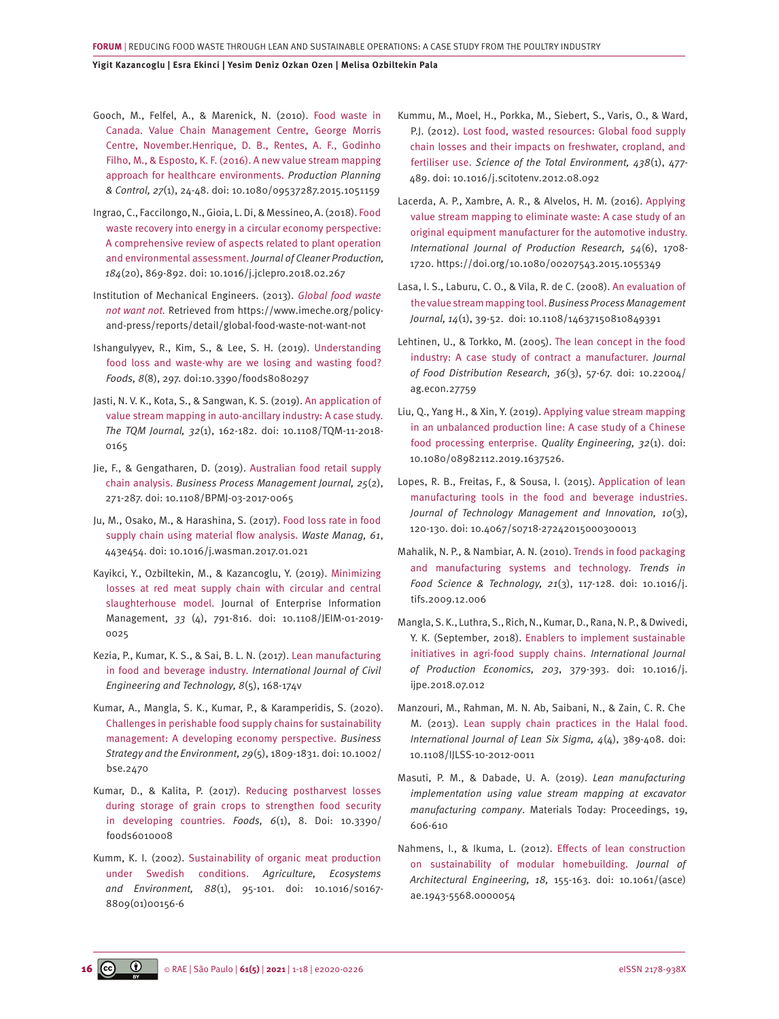<span id="page-15-0"></span>[Gooch, M., Felfel, A., & Marenick, N. \(2010\). Food waste in](https://doi.org/10.1080/09537287.2015.1051159)  [Canada. Value Chain Management Centre, George Morris](https://doi.org/10.1080/09537287.2015.1051159)  [Centre, November.Henrique, D. B., Rentes, A. F., Godinho](https://doi.org/10.1080/09537287.2015.1051159)  [Filho, M., & Esposto, K. F. \(2016\). A new value stream mapping](https://doi.org/10.1080/09537287.2015.1051159)  [approach for healthcare environments.](https://doi.org/10.1080/09537287.2015.1051159) *Production Planning & Control, 27*[\(1\), 24-48. doi: 10.1080/09537287.2015.1051159](https://doi.org/10.1080/09537287.2015.1051159) 

[Ingrao, C., Faccilongo, N., Gioia, L. Di, & Messineo, A. \(2018\). Food](https://doi.org/10.1016/j.jclepro.2018.02.267)  [waste recovery into energy in a circular economy perspective:](https://doi.org/10.1016/j.jclepro.2018.02.267)  [A comprehensive review of aspects related to plant operation](https://doi.org/10.1016/j.jclepro.2018.02.267)  [and environmental assessment.](https://doi.org/10.1016/j.jclepro.2018.02.267) *Journal of Cleaner Production, 184*[\(20\), 869-892. doi: 10.1016/j.jclepro.2018.02.267](https://doi.org/10.1016/j.jclepro.2018.02.267)

[Institution of Mechanical Engineers. \(2013\).](https://www.imeche.org/policy-and-press/reports/detail/global-food-waste-not-want-not) *Global food waste not want not.* [Retrieved from https://www.imeche.org/policy](https://www.imeche.org/policy-and-press/reports/detail/global-food-waste-not-want-not)[and-press/reports/detail/global-food-waste-not-want-not](https://www.imeche.org/policy-and-press/reports/detail/global-food-waste-not-want-not) 

[Ishangulyyev, R., Kim, S., & Lee, S. H. \(2019\). Understanding](https://pubmed.ncbi.nlm.nih.gov/31362396/)  [food loss and waste-why are we losing and wasting food?](https://pubmed.ncbi.nlm.nih.gov/31362396/) *Foods, 8*[\(8\), 297. doi:10.3390/foods8080297](https://pubmed.ncbi.nlm.nih.gov/31362396/)

[Jasti, N. V. K., Kota, S., & Sangwan, K. S. \(2019\). An application of](https://doi.org/10.1108/TQM-11-2018-0165)  [value stream mapping in auto-ancillary industry: A case study.](https://doi.org/10.1108/TQM-11-2018-0165) *The TQM Journal, 32*[\(1\), 162-182. doi: 10.1108/TQM-11-2018-](https://doi.org/10.1108/TQM-11-2018-0165) [0165](https://doi.org/10.1108/TQM-11-2018-0165)

- [Jie, F., & Gengatharen, D. \(2019\). Australian food retail supply](https://doi.org/10.1108/BPMJ-03-2017-0065)  chain analysis. *[Business Process Management Journal, 25](https://doi.org/10.1108/BPMJ-03-2017-0065)*(2), [271-287. doi: 10.1108/BPMJ-03-2017-0065](https://doi.org/10.1108/BPMJ-03-2017-0065)
- [Ju, M., Osako, M., & Harashina, S. \(2017\). Food loss rate in food](https://doi.org/10.1016/j.wasman.2017.01.021)  [supply chain using material flow analysis.](https://doi.org/10.1016/j.wasman.2017.01.021) *Waste Manag, 61*, [443e454. doi: 10.1016/j.wasman.2017.01.021](https://doi.org/10.1016/j.wasman.2017.01.021)
- [Kayikci, Y., Ozbiltekin, M., & Kazancoglu, Y. \(2019\). Minimizing](https://doi.org/10.1108/JEIM-01-2019-0025)  [losses at red meat supply chain with circular and central](https://doi.org/10.1108/JEIM-01-2019-0025)  [slaughterhouse model. Journal of Enterprise Information](https://doi.org/10.1108/JEIM-01-2019-0025)  Management, *33* [\(4\), 791-816. doi: 10.1108/JEIM-01-2019-](https://doi.org/10.1108/JEIM-01-2019-0025) [0025](https://doi.org/10.1108/JEIM-01-2019-0025)
- [Kezia, P., Kumar, K. S., & Sai, B. L. N. \(2017\). Lean manufacturing](https://pt.scribd.com/document/449639469/LEAN-MANUFACTURING-IN-FOOD-AND-BEVERAGE-INDUSTRY-pdf)  [in food and beverage industry.](https://pt.scribd.com/document/449639469/LEAN-MANUFACTURING-IN-FOOD-AND-BEVERAGE-INDUSTRY-pdf) *International Journal of Civil [Engineering and Technology, 8](https://pt.scribd.com/document/449639469/LEAN-MANUFACTURING-IN-FOOD-AND-BEVERAGE-INDUSTRY-pdf)*(5), 168-174v
- [Kumar, A., Mangla, S. K., Kumar, P., & Karamperidis, S. \(2020\).](https://doi.org/10.1002/bse.2470) [Challenges in perishable food supply chains for sustainability](https://doi.org/10.1002/bse.2470)  [management: A developing economy perspective.](https://doi.org/10.1002/bse.2470) *Business [Strategy and the Environment, 29](https://doi.org/10.1002/bse.2470)*(5), 1809-1831. doi: 10.1002/ [bse.2470](https://doi.org/10.1002/bse.2470)
- [Kumar, D., & Kalita, P. \(2017\). Reducing postharvest losses](https://doi.org/10.3390/foods6010008)  [during storage of grain crops to strengthen food security](https://doi.org/10.3390/foods6010008)  [in developing countries.](https://doi.org/10.3390/foods6010008) *Foods, 6*(1), 8. Doi: 10.3390/ [foods6010008](https://doi.org/10.3390/foods6010008)
- [Kumm, K. I. \(2002\). Sustainability of organic meat production](https://doi.org/10.1016/S0167-8809(01)00156-6)  [under Swedish conditions.](https://doi.org/10.1016/S0167-8809(01)00156-6) *Agriculture, Ecosystems and Environment, 88*[\(1\), 95-101. doi: 10.1016/s0167-](https://doi.org/10.1016/S0167-8809(01)00156-6) [8809\(01\)00156-6](https://doi.org/10.1016/S0167-8809(01)00156-6)
- [Kummu, M., Moel, H., Porkka, M., Siebert, S., Varis, O., & Ward,](https://doi.org/10.1016/j.scitotenv.2012.08.092)  [P.J. \(2012\). Lost food, wasted resources: Global food supply](https://doi.org/10.1016/j.scitotenv.2012.08.092) [chain losses and their impacts on freshwater, cropland, and](https://doi.org/10.1016/j.scitotenv.2012.08.092) fertiliser use. *[Science of the Total Environment, 438](https://doi.org/10.1016/j.scitotenv.2012.08.092)*(1), 477- [489. doi: 10.1016/j.scitotenv.2012.08.092](https://doi.org/10.1016/j.scitotenv.2012.08.092)
- [Lacerda, A. P., Xambre, A. R., & Alvelos, H. M. \(2016\). Applying](https://doi.org/10.1080/00207543.2015.1055349) [value stream mapping to eliminate waste: A case study of an](https://doi.org/10.1080/00207543.2015.1055349) [original equipment manufacturer for the automotive industry.](https://doi.org/10.1080/00207543.2015.1055349) *[International Journal of Production Research, 54](https://doi.org/10.1080/00207543.2015.1055349)*(6), 1708- [1720. https://doi.org/10.1080/00207543.2015.1055349](https://doi.org/10.1080/00207543.2015.1055349)
- [Lasa, I. S., Laburu, C. O., & Vila, R. de C. \(2008\). An evaluation of](https://doi.org/10.1108/14637150810849391) the value stream mapping tool.*[Business Process Management](https://doi.org/10.1108/14637150810849391) Journal, 14*[\(1\), 39-52. doi: 10.1108/14637150810849391](https://doi.org/10.1108/14637150810849391)
- [Lehtinen, U., & Torkko, M. \(2005\). The lean concept in the food](https://ideas.repec.org/a/ags/jlofdr/27759.html) [industry: A case study of contract a manufacturer.](https://ideas.repec.org/a/ags/jlofdr/27759.html) *Journal [of Food Distribution Research, 36](https://ideas.repec.org/a/ags/jlofdr/27759.html)*(3), 57-67. doi: 10.22004/ [ag.econ.27759](https://ideas.repec.org/a/ags/jlofdr/27759.html)
- [Liu, Q., Yang H., & Xin, Y. \(2019\). Applying value stream mapping](https://doi.org/10.1080/08982112.2019.1637526) [in an unbalanced production line: A case study of a Chinese](https://doi.org/10.1080/08982112.2019.1637526)  [food processing enterprise.](https://doi.org/10.1080/08982112.2019.1637526) *Quality Engineering, 32*(1). doi: [10.1080/08982112.2019.1637526.](https://doi.org/10.1080/08982112.2019.1637526)
- [Lopes, R. B., Freitas, F., & Sousa, I. \(2015\). Application of lean](https://doi.org/10.4067/s0718-27242015000300013) [manufacturing tools in the food and beverage industries.](https://doi.org/10.4067/s0718-27242015000300013)  *[Journal of Technology Management and Innovation, 10](https://doi.org/10.4067/s0718-27242015000300013)*(3), [120-130. doi: 10.4067/s0718-27242015000300013](https://doi.org/10.4067/s0718-27242015000300013)
- [Mahalik, N. P., & Nambiar, A. N. \(2010\). Trends in food packaging](https://doi.org/10.1016/j.tifs.2009.12.006) [and manufacturing systems and technology.](https://doi.org/10.1016/j.tifs.2009.12.006) *Trends in [Food Science & Technology, 21](https://doi.org/10.1016/j.tifs.2009.12.006)*(3), 117-128. doi: 10.1016/j. [tifs.2009.12.006](https://doi.org/10.1016/j.tifs.2009.12.006)
- [Mangla, S. K., Luthra, S., Rich, N., Kumar, D., Rana, N. P., & Dwivedi,](https://doi.org/10.1016/j.ijpe.2018.07.012)  [Y. K. \(September, 2018\). Enablers to implement sustainable](https://doi.org/10.1016/j.ijpe.2018.07.012)  [initiatives in agri-food supply chains.](https://doi.org/10.1016/j.ijpe.2018.07.012) *International Journal [of Production Economics, 203](https://doi.org/10.1016/j.ijpe.2018.07.012)*, 379-393. doi: 10.1016/j. [ijpe.2018.07.012](https://doi.org/10.1016/j.ijpe.2018.07.012)
- [Manzouri, M., Rahman, M. N. Ab, Saibani, N., & Zain, C. R. Che](https://doi.org/10.1108/IJLSS-10-2012-0011)  [M. \(2013\). Lean supply chain practices in the Halal food.](https://doi.org/10.1108/IJLSS-10-2012-0011) *[International Journal of Lean Six Sigma, 4](https://doi.org/10.1108/IJLSS-10-2012-0011)*(4), 389-408. doi: [10.1108/IJLSS-10-2012-0011](https://doi.org/10.1108/IJLSS-10-2012-0011)
- Masuti, P. M., & Dabade, U. A. (2019). *Lean manufacturing implementation using value stream mapping at excavator manufacturing company*. Materials Today: Proceedings, 19, 606-610
- [Nahmens, I., & Ikuma, L. \(2012\). Effects of lean construction](https://ascelibrary.org/doi/abs/10.1061/%28ASCE%29AE.1943-5568.0000054) [on sustainability of modular homebuilding.](https://ascelibrary.org/doi/abs/10.1061/%28ASCE%29AE.1943-5568.0000054) *Journal of [Architectural Engineering, 18,](https://ascelibrary.org/doi/abs/10.1061/%28ASCE%29AE.1943-5568.0000054)* 155-163. doi: 10.1061/(asce) [ae.1943-5568.0000054](https://ascelibrary.org/doi/abs/10.1061/%28ASCE%29AE.1943-5568.0000054)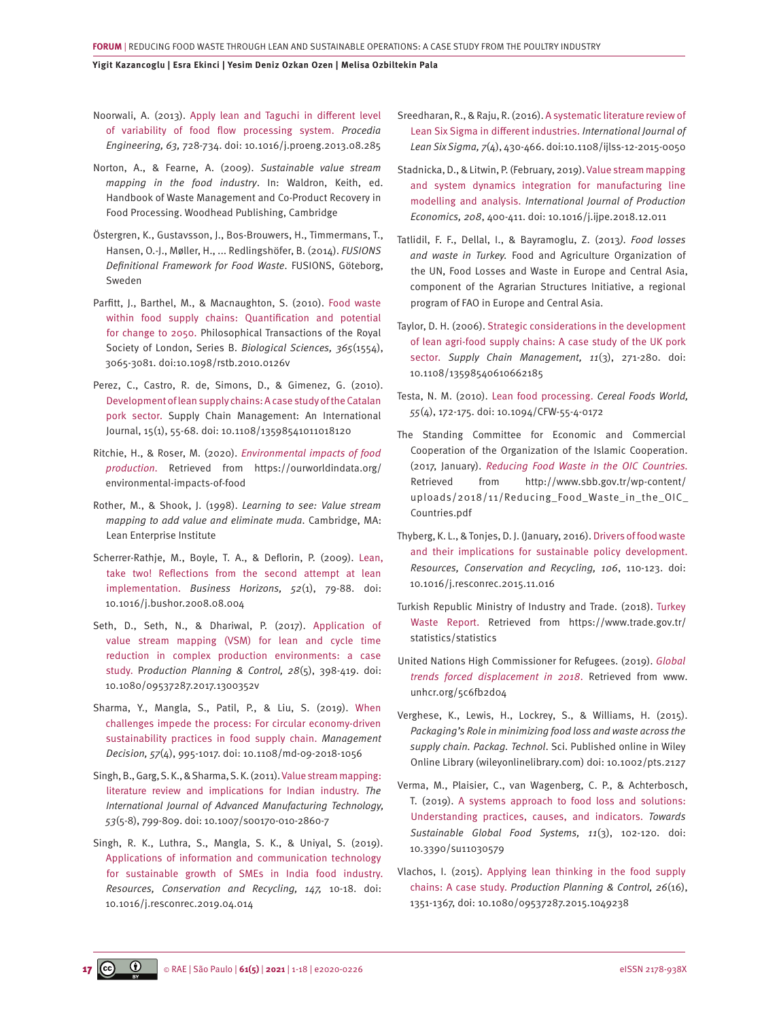- <span id="page-16-0"></span>[Noorwali, A. \(2013\). Apply lean and Taguchi in different level](https://doi.org/10.1016/j.proeng.2013.08.285)  [of variability of food flow processing system.](https://doi.org/10.1016/j.proeng.2013.08.285) *Procedia Engineering, 63,* [728-734. doi: 10.1016/j.proeng.2013.08.285](https://doi.org/10.1016/j.proeng.2013.08.285)
- Norton, A., & Fearne, A. (2009). *Sustainable value stream mapping in the food industry*. In: Waldron, Keith, ed. Handbook of Waste Management and Co-Product Recovery in Food Processing. Woodhead Publishing, Cambridge
- Östergren, K., Gustavsson, J., Bos-Brouwers, H., Timmermans, T., Hansen, O.-J., Møller, H., ... Redlingshöfer, B. (2014). *FUSIONS Definitional Framework for Food Waste*. FUSIONS, Göteborg, Sweden
- [Parfitt, J., Barthel, M., & Macnaughton, S. \(2010\). Food waste](https://www.jstor.org/stable/pdf/20752997.pdf)  [within food supply chains: Quantification and potential](https://www.jstor.org/stable/pdf/20752997.pdf)  [for change to 2050. Philosophical Transactions of the Royal](https://www.jstor.org/stable/pdf/20752997.pdf)  [Society of London, Series B.](https://www.jstor.org/stable/pdf/20752997.pdf) *Biological Sciences, 365*(1554), [3065-3081. doi:10.1098/rstb.2010.0126v](https://www.jstor.org/stable/pdf/20752997.pdf)
- [Perez, C., Castro, R. de, Simons, D., & Gimenez, G. \(2010\).](https://doi.org/10.1108/13598541011018120) [Development of lean supply chains: A case study of the Catalan](https://doi.org/10.1108/13598541011018120)  [pork sector. Supply Chain Management: An International](https://doi.org/10.1108/13598541011018120)  [Journal, 15\(1\), 55-68. doi: 10.1108/13598541011018120](https://doi.org/10.1108/13598541011018120)
- [Ritchie, H., & Roser, M. \(2020\).](https://ourworldindata.org/environmental-impacts-of-food) *Environmental impacts of food production.* [Retrieved from https://ourworldindata.org/](https://ourworldindata.org/environmental-impacts-of-food) [environmental-impacts-of-food](https://ourworldindata.org/environmental-impacts-of-food)
- Rother, M., & Shook, J. (1998). *Learning to see: Value stream mapping to add value and eliminate muda*. Cambridge, MA: Lean Enterprise Institute
- [Scherrer-Rathje, M., Boyle, T. A., & Deflorin, P. \(2009\). Lean,](https://doi.org/10.1016/j.bushor.2008.08.004) [take two! Reflections from the second attempt at lean](https://doi.org/10.1016/j.bushor.2008.08.004)  implementation. *[Business Horizons, 52](https://doi.org/10.1016/j.bushor.2008.08.004)*(1), 79-88. doi: [10.1016/j.bushor.2008.08.004](https://doi.org/10.1016/j.bushor.2008.08.004)
- [Seth, D., Seth, N., & Dhariwal, P. \(2017\). Application of](https://www.tandfonline.com/doi/full/10.1080/09537287.2017.1300352)  [value stream mapping \(VSM\) for lean and cycle time](https://www.tandfonline.com/doi/full/10.1080/09537287.2017.1300352)  [reduction in complex production environments: a case](https://www.tandfonline.com/doi/full/10.1080/09537287.2017.1300352)  study. P*[roduction Planning & Control, 28](https://www.tandfonline.com/doi/full/10.1080/09537287.2017.1300352)*(5), 398-419. doi: [10.1080/09537287.2017.1300352](https://www.tandfonline.com/doi/full/10.1080/09537287.2017.1300352)v
- [Sharma, Y., Mangla, S., Patil, P., & Liu, S. \(2019\). When](https://www.emerald.com/insight/content/doi/10.1108/MD-09-2018-1056/full/html)  [challenges impede the process: For circular economy-driven](https://www.emerald.com/insight/content/doi/10.1108/MD-09-2018-1056/full/html)  [sustainability practices in food supply chain.](https://www.emerald.com/insight/content/doi/10.1108/MD-09-2018-1056/full/html) *Management Decision, 57*[\(4\), 995-1017. doi: 10.1108/md-09-2018-1056](https://www.emerald.com/insight/content/doi/10.1108/MD-09-2018-1056/full/html)
- [Singh, B., Garg, S. K., & Sharma, S. K. \(2011\). Value stream mapping:](https://doi.org/10.1007/s00170-010-2860-7)  [literature review and implications for Indian industry.](https://doi.org/10.1007/s00170-010-2860-7) *The [International Journal of Advanced Manufacturing Technology,](https://doi.org/10.1007/s00170-010-2860-7)  53*[\(5-8\), 799-809. doi: 10.1007/s00170-010-2860-7](https://doi.org/10.1007/s00170-010-2860-7)
- [Singh, R. K., Luthra, S., Mangla, S. K., & Uniyal, S. \(2019\).](Singh, R. K., Luthra, S., Mangla, S. K., & Uniyal, S. (2019). Applications of information and communication technology for sustainable growth of SMEs in India food industry. Resources, Conservation and Recycling, 147, 10-18. doi: 10.1016/j.resconrec.2019.04.014; https://doi.org/10.1016/j.ijpe.2018.07.012) [Applications of information and communication technology](Singh, R. K., Luthra, S., Mangla, S. K., & Uniyal, S. (2019). Applications of information and communication technology for sustainable growth of SMEs in India food industry. Resources, Conservation and Recycling, 147, 10-18. doi: 10.1016/j.resconrec.2019.04.014; https://doi.org/10.1016/j.ijpe.2018.07.012)  [for sustainable growth of SMEs in India food industry.](Singh, R. K., Luthra, S., Mangla, S. K., & Uniyal, S. (2019). Applications of information and communication technology for sustainable growth of SMEs in India food industry. Resources, Conservation and Recycling, 147, 10-18. doi: 10.1016/j.resconrec.2019.04.014; https://doi.org/10.1016/j.ijpe.2018.07.012) *[Resources, Conservation and Recycling, 147,](Singh, R. K., Luthra, S., Mangla, S. K., & Uniyal, S. (2019). Applications of information and communication technology for sustainable growth of SMEs in India food industry. Resources, Conservation and Recycling, 147, 10-18. doi: 10.1016/j.resconrec.2019.04.014; https://doi.org/10.1016/j.ijpe.2018.07.012)* 10-18. doi: [10.1016/j.resconrec.2019.04.014](Singh, R. K., Luthra, S., Mangla, S. K., & Uniyal, S. (2019). Applications of information and communication technology for sustainable growth of SMEs in India food industry. Resources, Conservation and Recycling, 147, 10-18. doi: 10.1016/j.resconrec.2019.04.014; https://doi.org/10.1016/j.ijpe.2018.07.012)
- [Sreedharan, R., & Raju, R. \(2016\). A systematic literature review of](https://www.emerald.com/insight/content/doi/10.1108/IJLSS-12-2015-0050/full/html) [Lean Six Sigma in different industries.](https://www.emerald.com/insight/content/doi/10.1108/IJLSS-12-2015-0050/full/html) *International Journal of Lean Six Sigma, 7*[\(4\), 430-466. doi:10.1108/ijlss-12-2015-0050](https://www.emerald.com/insight/content/doi/10.1108/IJLSS-12-2015-0050/full/html)
- [Stadnicka, D., & Litwin, P. \(February, 2019\). Value stream mapping](https://doi.org/10.1016/j.ijpe.2018.12.011) [and system dynamics integration for manufacturing line](https://doi.org/10.1016/j.ijpe.2018.12.011)  modelling and analysis. *[International Journal of Production](https://doi.org/10.1016/j.ijpe.2018.12.011) Economics, 208*[, 400-411. doi: 10.1016/j.ijpe.2018.12.011](https://doi.org/10.1016/j.ijpe.2018.12.011)
- Tatlidil, F. F., Dellal, I., & Bayramoglu, Z. (2013*). Food losses and waste in Turkey.* Food and Agriculture Organization of the UN, Food Losses and Waste in Europe and Central Asia, component of the Agrarian Structures Initiative, a regional program of FAO in Europe and Central Asia.
- [Taylor, D. H. \(2006\). Strategic considerations in the development](https://doi.org/10.1108/13598540610662185) [of lean agri-food supply chains: A case study of the UK pork](https://doi.org/10.1108/13598540610662185) sector. *[Supply Chain Management, 11](https://doi.org/10.1108/13598540610662185)*(3), 271-280. doi: [10.1108/13598540610662185](https://doi.org/10.1108/13598540610662185)
- [Testa, N. M. \(2010\). Lean food processing.](https://doi.org/10.1094/CFW-55-4-0172) *Cereal Foods World, 55*[\(4\), 172-175. doi: 10.1094/CFW-55-4-0172](https://doi.org/10.1094/CFW-55-4-0172)
- [The Standing Committee for Economic and Commercial](The Standing Committee for Economic and Commercial Cooperation of the Organization of the Islamic Cooperation. (2017, January). Reducing Food Waste in the OIC Countries. Retrieved from http://www.sbb.gov.tr/wp-content/uploads/2018/11/Reducing_Food_Waste_in_the_OIC_Countries.pdf)  [Cooperation of the Organization of the Islamic Cooperation.](The Standing Committee for Economic and Commercial Cooperation of the Organization of the Islamic Cooperation. (2017, January). Reducing Food Waste in the OIC Countries. Retrieved from http://www.sbb.gov.tr/wp-content/uploads/2018/11/Reducing_Food_Waste_in_the_OIC_Countries.pdf)  (2017, January). *[Reducing Food Waste in the OIC Countries.](The Standing Committee for Economic and Commercial Cooperation of the Organization of the Islamic Cooperation. (2017, January). Reducing Food Waste in the OIC Countries. Retrieved from http://www.sbb.gov.tr/wp-content/uploads/2018/11/Reducing_Food_Waste_in_the_OIC_Countries.pdf)*  [Retrieved from http://www.sbb.gov.tr/wp-content/](The Standing Committee for Economic and Commercial Cooperation of the Organization of the Islamic Cooperation. (2017, January). Reducing Food Waste in the OIC Countries. Retrieved from http://www.sbb.gov.tr/wp-content/uploads/2018/11/Reducing_Food_Waste_in_the_OIC_Countries.pdf) [uploads/2018/11/Reducing\\_Food\\_Waste\\_in\\_the\\_OIC\\_](The Standing Committee for Economic and Commercial Cooperation of the Organization of the Islamic Cooperation. (2017, January). Reducing Food Waste in the OIC Countries. Retrieved from http://www.sbb.gov.tr/wp-content/uploads/2018/11/Reducing_Food_Waste_in_the_OIC_Countries.pdf) [Countries.pdf](The Standing Committee for Economic and Commercial Cooperation of the Organization of the Islamic Cooperation. (2017, January). Reducing Food Waste in the OIC Countries. Retrieved from http://www.sbb.gov.tr/wp-content/uploads/2018/11/Reducing_Food_Waste_in_the_OIC_Countries.pdf)
- [Thyberg, K. L., & Tonjes, D. J. \(January, 2016\). Drivers of food waste](https://doi.org/10.1016/j.resconrec.2015.11.016)  [and their implications for sustainable policy development.](https://doi.org/10.1016/j.resconrec.2015.11.016)  *[Resources, Conservation and Recycling, 106](https://doi.org/10.1016/j.resconrec.2015.11.016)*, 110-123. doi: [10.1016/j.resconrec.2015.11.016](https://doi.org/10.1016/j.resconrec.2015.11.016)
- [Turkish Republic Ministry of Industry and Trade. \(2018\). Turkey](https://www.trade.gov.tr/statistics/statistics) [Waste Report. Retrieved from https://www.trade.gov.tr/](https://www.trade.gov.tr/statistics/statistics) [statistics/statistics](https://www.trade.gov.tr/statistics/statistics)
- [United Nations High Commissioner for Refugees. \(2019\).](http://www.unhcr.org/5c6fb2d04) *Global [trends forced displacement in 2018](http://www.unhcr.org/5c6fb2d04)*. Retrieved from www. [unhcr.org/5c6fb2d04](http://www.unhcr.org/5c6fb2d04)
- Verghese, K., Lewis, H., Lockrey, S., & Williams, H. (2015). *Packaging's Role in minimizing food loss and waste across the supply chain. Packag. Technol*. Sci. Published online in Wiley Online Library (wileyonlinelibrary.com) doi: 10.1002/pts.2127
- [Verma, M., Plaisier, C., van Wagenberg, C. P., & Achterbosch,](Verma, M., Plaisier, C., van Wagenberg, C. P., & Achterbosch, T. (2019). A systems approach to food loss and solutions: Understanding practices, causes, and indicators. Towards Sustainable Global Food Systems, 11(3), 102-120. https://doi: 10.3390/su11030579 )  [T. \(2019\). A systems approach to food loss and solutions:](Verma, M., Plaisier, C., van Wagenberg, C. P., & Achterbosch, T. (2019). A systems approach to food loss and solutions: Understanding practices, causes, and indicators. Towards Sustainable Global Food Systems, 11(3), 102-120. https://doi: 10.3390/su11030579 ) [Understanding practices, causes, and indicators.](Verma, M., Plaisier, C., van Wagenberg, C. P., & Achterbosch, T. (2019). A systems approach to food loss and solutions: Understanding practices, causes, and indicators. Towards Sustainable Global Food Systems, 11(3), 102-120. https://doi: 10.3390/su11030579 ) *Towards [Sustainable Global Food Systems, 11](Verma, M., Plaisier, C., van Wagenberg, C. P., & Achterbosch, T. (2019). A systems approach to food loss and solutions: Understanding practices, causes, and indicators. Towards Sustainable Global Food Systems, 11(3), 102-120. https://doi: 10.3390/su11030579 )*(3), 102-120. doi: [10.3390/su11030579](Verma, M., Plaisier, C., van Wagenberg, C. P., & Achterbosch, T. (2019). A systems approach to food loss and solutions: Understanding practices, causes, and indicators. Towards Sustainable Global Food Systems, 11(3), 102-120. https://doi: 10.3390/su11030579 )
- [Vlachos, I. \(2015\). Applying lean thinking in the food supply](https://www.tandfonline.com/doi/full/10.1080/09537287.2015.1049238) chains: A case study. *[Production Planning & Control, 26](https://www.tandfonline.com/doi/full/10.1080/09537287.2015.1049238)*(16), [1351-1367, doi: 10.1080/09537287.2015.1049238](https://www.tandfonline.com/doi/full/10.1080/09537287.2015.1049238)